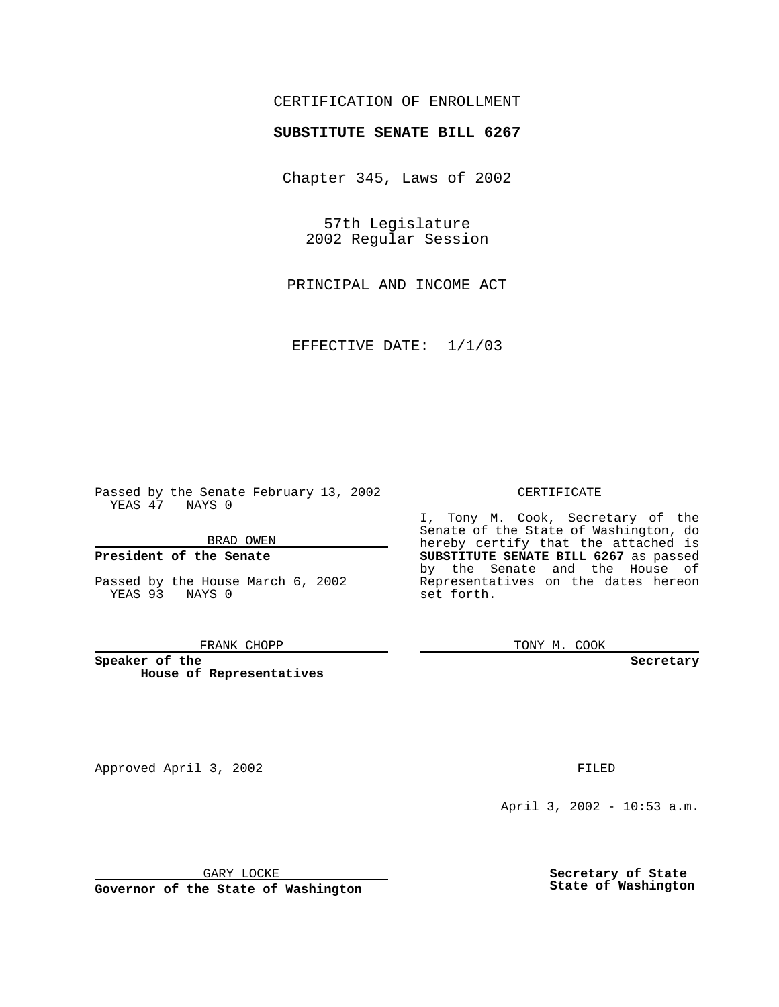### CERTIFICATION OF ENROLLMENT

# **SUBSTITUTE SENATE BILL 6267**

Chapter 345, Laws of 2002

57th Legislature 2002 Regular Session

PRINCIPAL AND INCOME ACT

EFFECTIVE DATE: 1/1/03

Passed by the Senate February 13, 2002 YEAS 47 NAYS 0

#### BRAD OWEN

#### **President of the Senate**

Passed by the House March 6, 2002 YEAS 93 NAYS 0

#### FRANK CHOPP

**Speaker of the House of Representatives**

Approved April 3, 2002 **FILED** 

#### CERTIFICATE

I, Tony M. Cook, Secretary of the Senate of the State of Washington, do hereby certify that the attached is **SUBSTITUTE SENATE BILL 6267** as passed by the Senate and the House of Representatives on the dates hereon set forth.

TONY M. COOK

**Secretary**

April 3, 2002 - 10:53 a.m.

GARY LOCKE

**Governor of the State of Washington**

**Secretary of State State of Washington**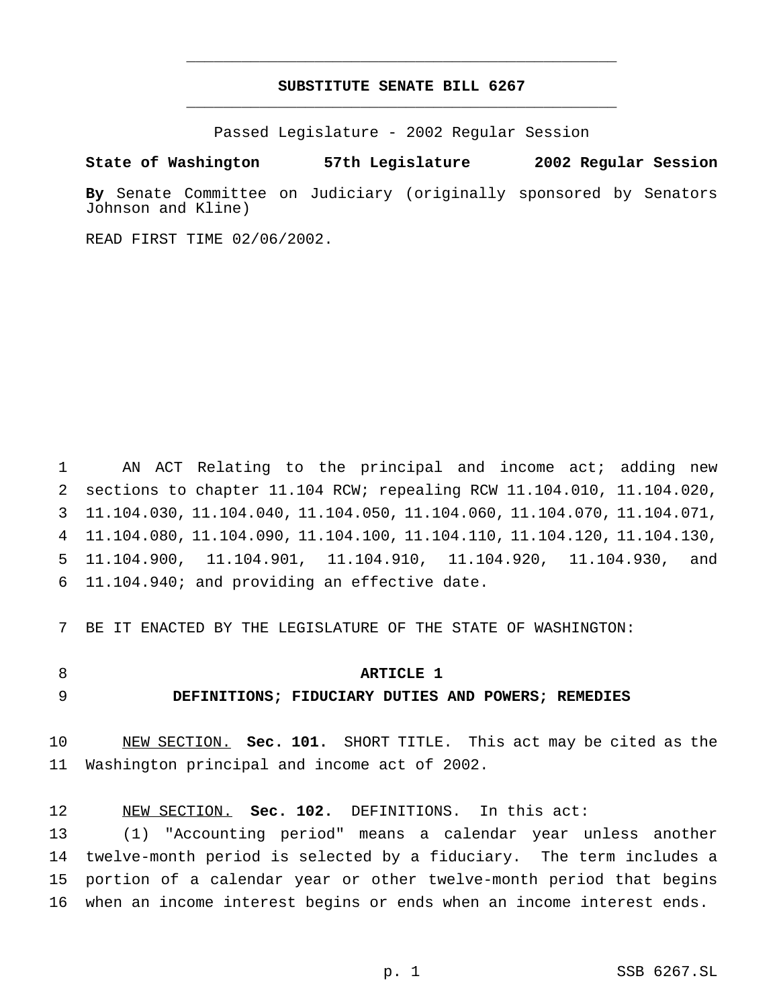## **SUBSTITUTE SENATE BILL 6267** \_\_\_\_\_\_\_\_\_\_\_\_\_\_\_\_\_\_\_\_\_\_\_\_\_\_\_\_\_\_\_\_\_\_\_\_\_\_\_\_\_\_\_\_\_\_\_

\_\_\_\_\_\_\_\_\_\_\_\_\_\_\_\_\_\_\_\_\_\_\_\_\_\_\_\_\_\_\_\_\_\_\_\_\_\_\_\_\_\_\_\_\_\_\_

Passed Legislature - 2002 Regular Session

#### **State of Washington 57th Legislature 2002 Regular Session**

**By** Senate Committee on Judiciary (originally sponsored by Senators Johnson and Kline)

READ FIRST TIME 02/06/2002.

1 AN ACT Relating to the principal and income act; adding new sections to chapter 11.104 RCW; repealing RCW 11.104.010, 11.104.020, 11.104.030, 11.104.040, 11.104.050, 11.104.060, 11.104.070, 11.104.071, 11.104.080, 11.104.090, 11.104.100, 11.104.110, 11.104.120, 11.104.130, 11.104.900, 11.104.901, 11.104.910, 11.104.920, 11.104.930, and 11.104.940; and providing an effective date.

7 BE IT ENACTED BY THE LEGISLATURE OF THE STATE OF WASHINGTON:

#### 8 **ARTICLE 1**

### 9 **DEFINITIONS; FIDUCIARY DUTIES AND POWERS; REMEDIES**

10 NEW SECTION. **Sec. 101.** SHORT TITLE. This act may be cited as the 11 Washington principal and income act of 2002.

12 NEW SECTION. **Sec. 102.** DEFINITIONS. In this act:

 (1) "Accounting period" means a calendar year unless another twelve-month period is selected by a fiduciary. The term includes a portion of a calendar year or other twelve-month period that begins when an income interest begins or ends when an income interest ends.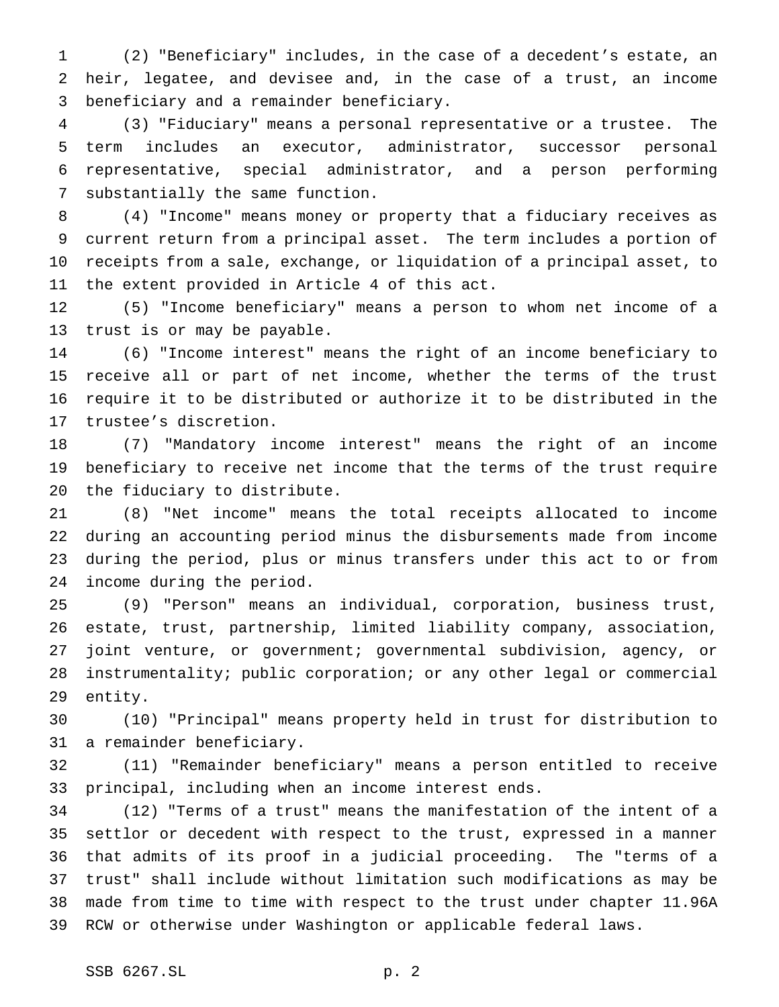(2) "Beneficiary" includes, in the case of a decedent's estate, an heir, legatee, and devisee and, in the case of a trust, an income beneficiary and a remainder beneficiary.

 (3) "Fiduciary" means a personal representative or a trustee. The term includes an executor, administrator, successor personal representative, special administrator, and a person performing substantially the same function.

 (4) "Income" means money or property that a fiduciary receives as current return from a principal asset. The term includes a portion of receipts from a sale, exchange, or liquidation of a principal asset, to the extent provided in Article 4 of this act.

 (5) "Income beneficiary" means a person to whom net income of a trust is or may be payable.

 (6) "Income interest" means the right of an income beneficiary to receive all or part of net income, whether the terms of the trust require it to be distributed or authorize it to be distributed in the trustee's discretion.

 (7) "Mandatory income interest" means the right of an income beneficiary to receive net income that the terms of the trust require the fiduciary to distribute.

 (8) "Net income" means the total receipts allocated to income during an accounting period minus the disbursements made from income during the period, plus or minus transfers under this act to or from income during the period.

 (9) "Person" means an individual, corporation, business trust, estate, trust, partnership, limited liability company, association, joint venture, or government; governmental subdivision, agency, or instrumentality; public corporation; or any other legal or commercial entity.

 (10) "Principal" means property held in trust for distribution to a remainder beneficiary.

 (11) "Remainder beneficiary" means a person entitled to receive principal, including when an income interest ends.

 (12) "Terms of a trust" means the manifestation of the intent of a settlor or decedent with respect to the trust, expressed in a manner that admits of its proof in a judicial proceeding. The "terms of a trust" shall include without limitation such modifications as may be made from time to time with respect to the trust under chapter 11.96A RCW or otherwise under Washington or applicable federal laws.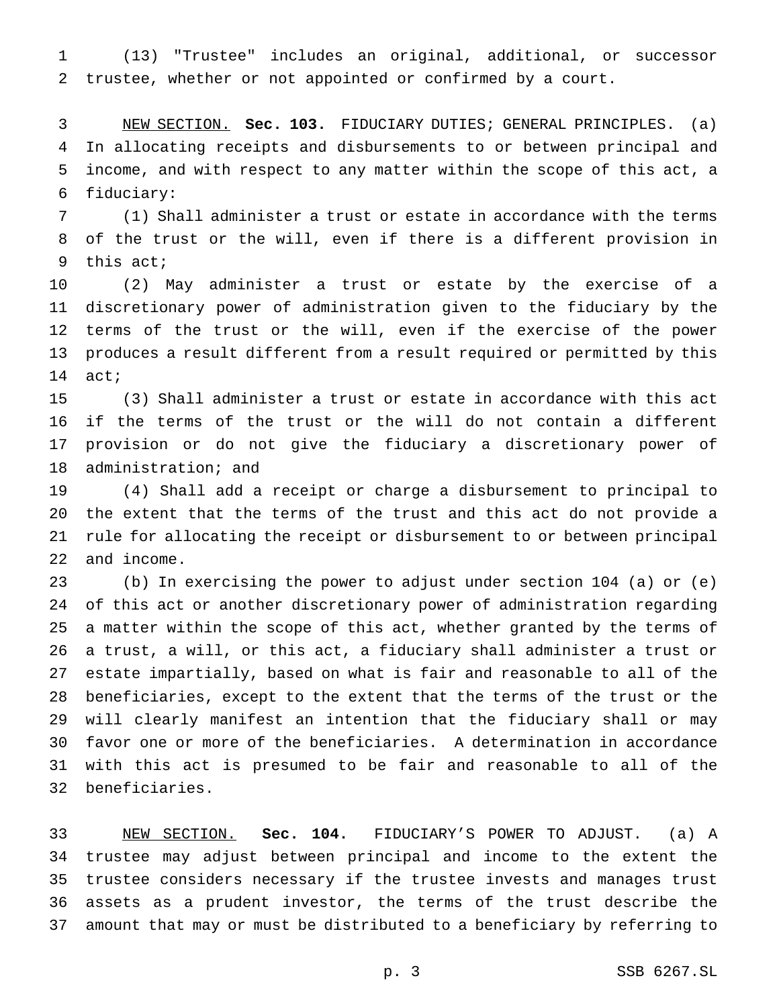(13) "Trustee" includes an original, additional, or successor trustee, whether or not appointed or confirmed by a court.

 NEW SECTION. **Sec. 103.** FIDUCIARY DUTIES; GENERAL PRINCIPLES. (a) In allocating receipts and disbursements to or between principal and income, and with respect to any matter within the scope of this act, a fiduciary:

 (1) Shall administer a trust or estate in accordance with the terms of the trust or the will, even if there is a different provision in this act;

 (2) May administer a trust or estate by the exercise of a discretionary power of administration given to the fiduciary by the terms of the trust or the will, even if the exercise of the power produces a result different from a result required or permitted by this act;

 (3) Shall administer a trust or estate in accordance with this act if the terms of the trust or the will do not contain a different provision or do not give the fiduciary a discretionary power of administration; and

 (4) Shall add a receipt or charge a disbursement to principal to the extent that the terms of the trust and this act do not provide a rule for allocating the receipt or disbursement to or between principal and income.

 (b) In exercising the power to adjust under section 104 (a) or (e) of this act or another discretionary power of administration regarding a matter within the scope of this act, whether granted by the terms of a trust, a will, or this act, a fiduciary shall administer a trust or estate impartially, based on what is fair and reasonable to all of the beneficiaries, except to the extent that the terms of the trust or the will clearly manifest an intention that the fiduciary shall or may favor one or more of the beneficiaries. A determination in accordance with this act is presumed to be fair and reasonable to all of the beneficiaries.

 NEW SECTION. **Sec. 104.** FIDUCIARY'S POWER TO ADJUST. (a) A trustee may adjust between principal and income to the extent the trustee considers necessary if the trustee invests and manages trust assets as a prudent investor, the terms of the trust describe the amount that may or must be distributed to a beneficiary by referring to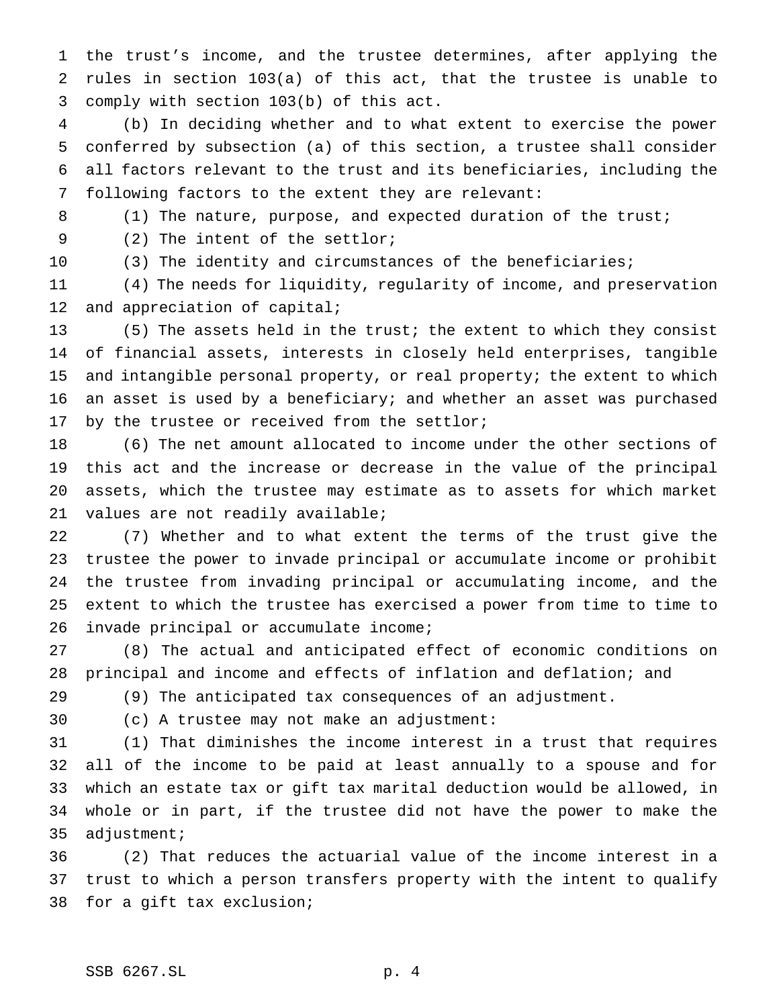the trust's income, and the trustee determines, after applying the rules in section 103(a) of this act, that the trustee is unable to comply with section 103(b) of this act.

 (b) In deciding whether and to what extent to exercise the power conferred by subsection (a) of this section, a trustee shall consider all factors relevant to the trust and its beneficiaries, including the following factors to the extent they are relevant:

8 (1) The nature, purpose, and expected duration of the trust;

(2) The intent of the settlor;

(3) The identity and circumstances of the beneficiaries;

 (4) The needs for liquidity, regularity of income, and preservation and appreciation of capital;

 (5) The assets held in the trust; the extent to which they consist of financial assets, interests in closely held enterprises, tangible and intangible personal property, or real property; the extent to which an asset is used by a beneficiary; and whether an asset was purchased 17 by the trustee or received from the settlor;

 (6) The net amount allocated to income under the other sections of this act and the increase or decrease in the value of the principal assets, which the trustee may estimate as to assets for which market values are not readily available;

 (7) Whether and to what extent the terms of the trust give the trustee the power to invade principal or accumulate income or prohibit the trustee from invading principal or accumulating income, and the extent to which the trustee has exercised a power from time to time to invade principal or accumulate income;

 (8) The actual and anticipated effect of economic conditions on principal and income and effects of inflation and deflation; and

(9) The anticipated tax consequences of an adjustment.

(c) A trustee may not make an adjustment:

 (1) That diminishes the income interest in a trust that requires all of the income to be paid at least annually to a spouse and for which an estate tax or gift tax marital deduction would be allowed, in whole or in part, if the trustee did not have the power to make the adjustment;

 (2) That reduces the actuarial value of the income interest in a trust to which a person transfers property with the intent to qualify for a gift tax exclusion;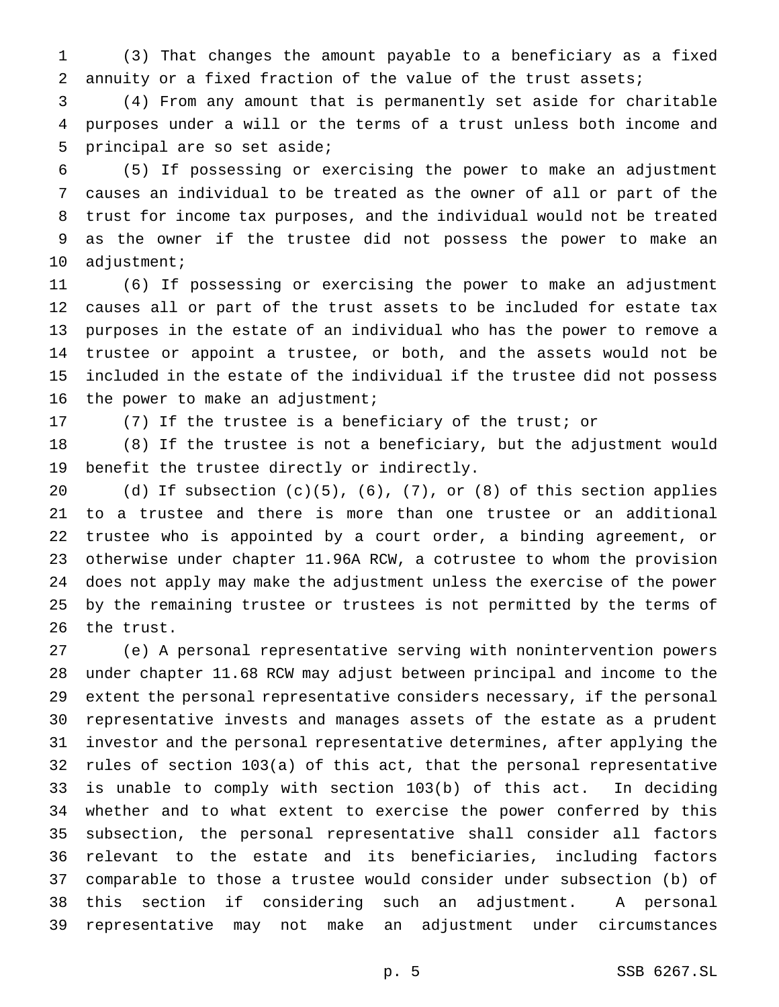(3) That changes the amount payable to a beneficiary as a fixed annuity or a fixed fraction of the value of the trust assets;

 (4) From any amount that is permanently set aside for charitable purposes under a will or the terms of a trust unless both income and principal are so set aside;

 (5) If possessing or exercising the power to make an adjustment causes an individual to be treated as the owner of all or part of the trust for income tax purposes, and the individual would not be treated as the owner if the trustee did not possess the power to make an adjustment;

 (6) If possessing or exercising the power to make an adjustment causes all or part of the trust assets to be included for estate tax purposes in the estate of an individual who has the power to remove a trustee or appoint a trustee, or both, and the assets would not be included in the estate of the individual if the trustee did not possess 16 the power to make an adjustment;

(7) If the trustee is a beneficiary of the trust; or

 (8) If the trustee is not a beneficiary, but the adjustment would benefit the trustee directly or indirectly.

 (d) If subsection (c)(5), (6), (7), or (8) of this section applies to a trustee and there is more than one trustee or an additional trustee who is appointed by a court order, a binding agreement, or otherwise under chapter 11.96A RCW, a cotrustee to whom the provision does not apply may make the adjustment unless the exercise of the power by the remaining trustee or trustees is not permitted by the terms of the trust.

 (e) A personal representative serving with nonintervention powers under chapter 11.68 RCW may adjust between principal and income to the extent the personal representative considers necessary, if the personal representative invests and manages assets of the estate as a prudent investor and the personal representative determines, after applying the rules of section 103(a) of this act, that the personal representative is unable to comply with section 103(b) of this act. In deciding whether and to what extent to exercise the power conferred by this subsection, the personal representative shall consider all factors relevant to the estate and its beneficiaries, including factors comparable to those a trustee would consider under subsection (b) of this section if considering such an adjustment. A personal representative may not make an adjustment under circumstances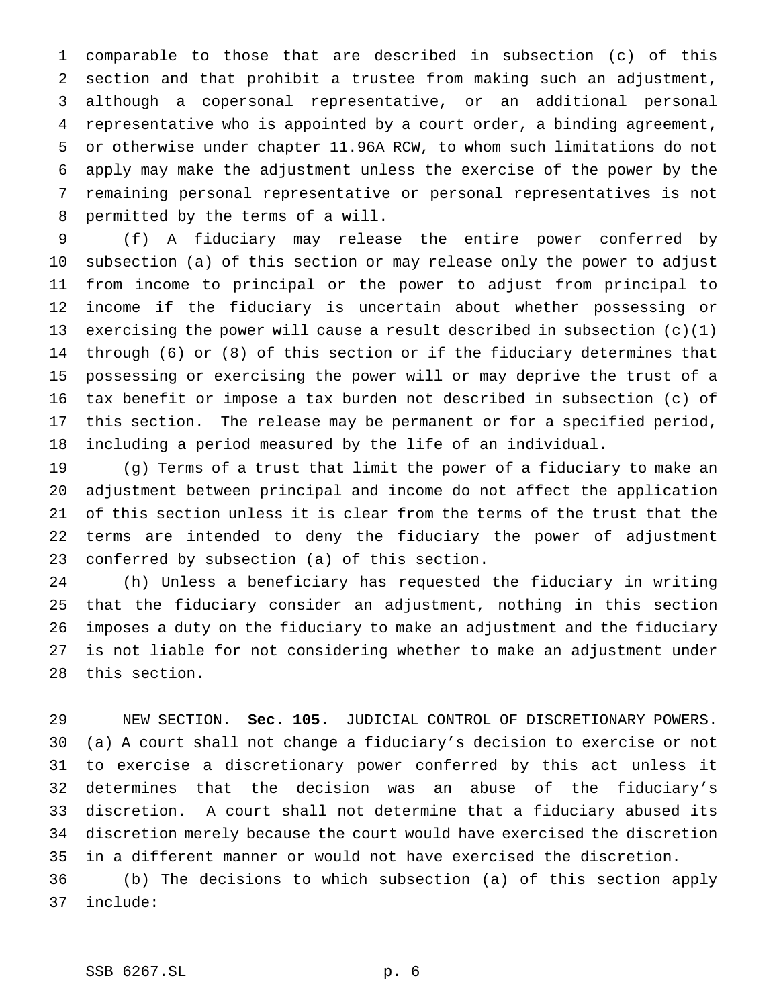comparable to those that are described in subsection (c) of this section and that prohibit a trustee from making such an adjustment, although a copersonal representative, or an additional personal representative who is appointed by a court order, a binding agreement, or otherwise under chapter 11.96A RCW, to whom such limitations do not apply may make the adjustment unless the exercise of the power by the remaining personal representative or personal representatives is not permitted by the terms of a will.

 (f) A fiduciary may release the entire power conferred by subsection (a) of this section or may release only the power to adjust from income to principal or the power to adjust from principal to income if the fiduciary is uncertain about whether possessing or 13 exercising the power will cause a result described in subsection  $(c)(1)$  through (6) or (8) of this section or if the fiduciary determines that possessing or exercising the power will or may deprive the trust of a tax benefit or impose a tax burden not described in subsection (c) of this section. The release may be permanent or for a specified period, including a period measured by the life of an individual.

 (g) Terms of a trust that limit the power of a fiduciary to make an adjustment between principal and income do not affect the application of this section unless it is clear from the terms of the trust that the terms are intended to deny the fiduciary the power of adjustment conferred by subsection (a) of this section.

 (h) Unless a beneficiary has requested the fiduciary in writing that the fiduciary consider an adjustment, nothing in this section imposes a duty on the fiduciary to make an adjustment and the fiduciary is not liable for not considering whether to make an adjustment under this section.

 NEW SECTION. **Sec. 105.** JUDICIAL CONTROL OF DISCRETIONARY POWERS. (a) A court shall not change a fiduciary's decision to exercise or not to exercise a discretionary power conferred by this act unless it determines that the decision was an abuse of the fiduciary's discretion. A court shall not determine that a fiduciary abused its discretion merely because the court would have exercised the discretion in a different manner or would not have exercised the discretion.

 (b) The decisions to which subsection (a) of this section apply include: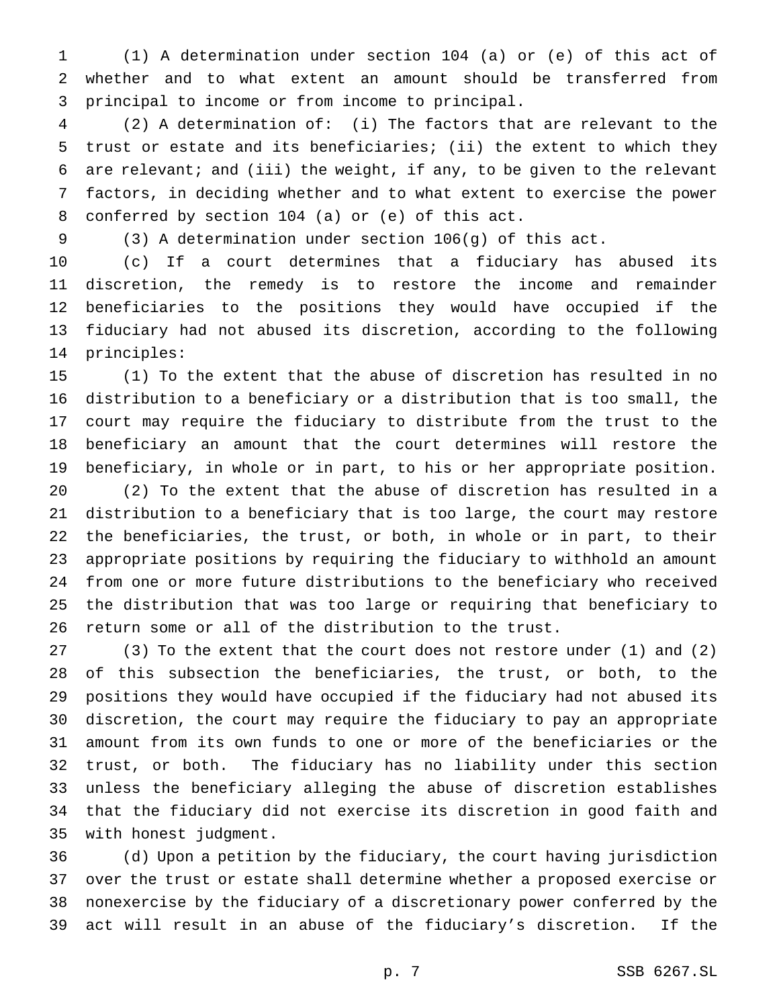(1) A determination under section 104 (a) or (e) of this act of whether and to what extent an amount should be transferred from principal to income or from income to principal.

 (2) A determination of: (i) The factors that are relevant to the trust or estate and its beneficiaries; (ii) the extent to which they are relevant; and (iii) the weight, if any, to be given to the relevant factors, in deciding whether and to what extent to exercise the power conferred by section 104 (a) or (e) of this act.

(3) A determination under section 106(g) of this act.

 (c) If a court determines that a fiduciary has abused its discretion, the remedy is to restore the income and remainder beneficiaries to the positions they would have occupied if the fiduciary had not abused its discretion, according to the following principles:

 (1) To the extent that the abuse of discretion has resulted in no distribution to a beneficiary or a distribution that is too small, the court may require the fiduciary to distribute from the trust to the beneficiary an amount that the court determines will restore the beneficiary, in whole or in part, to his or her appropriate position.

 (2) To the extent that the abuse of discretion has resulted in a distribution to a beneficiary that is too large, the court may restore the beneficiaries, the trust, or both, in whole or in part, to their appropriate positions by requiring the fiduciary to withhold an amount from one or more future distributions to the beneficiary who received the distribution that was too large or requiring that beneficiary to return some or all of the distribution to the trust.

 (3) To the extent that the court does not restore under (1) and (2) of this subsection the beneficiaries, the trust, or both, to the positions they would have occupied if the fiduciary had not abused its discretion, the court may require the fiduciary to pay an appropriate amount from its own funds to one or more of the beneficiaries or the trust, or both. The fiduciary has no liability under this section unless the beneficiary alleging the abuse of discretion establishes that the fiduciary did not exercise its discretion in good faith and with honest judgment.

 (d) Upon a petition by the fiduciary, the court having jurisdiction over the trust or estate shall determine whether a proposed exercise or nonexercise by the fiduciary of a discretionary power conferred by the act will result in an abuse of the fiduciary's discretion. If the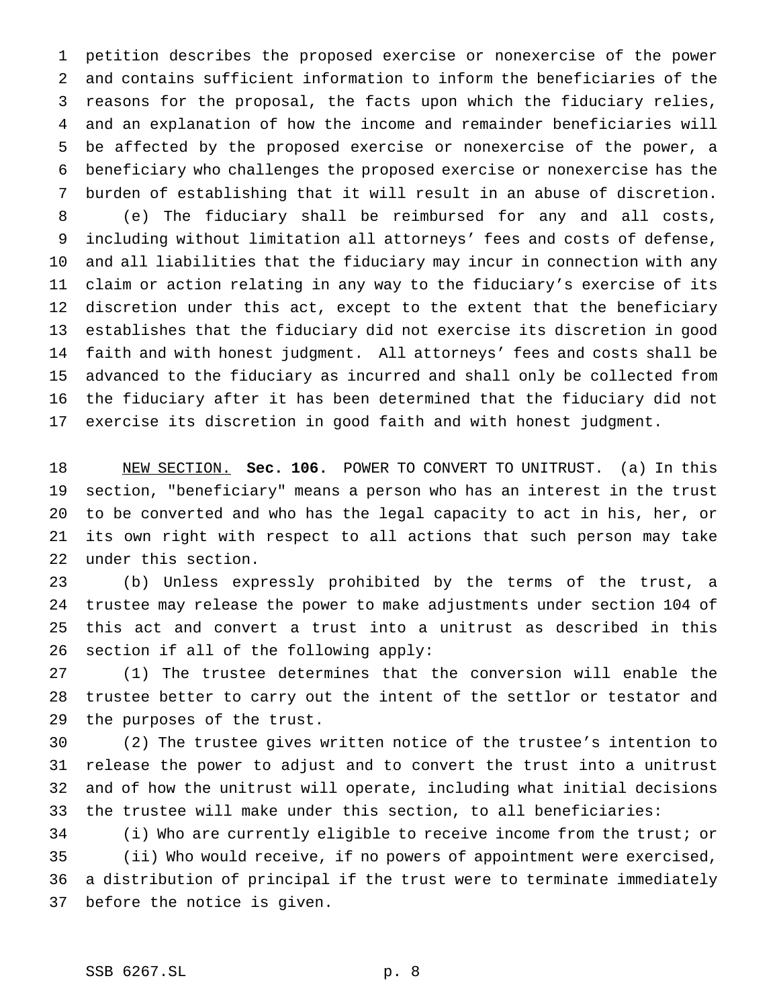petition describes the proposed exercise or nonexercise of the power and contains sufficient information to inform the beneficiaries of the reasons for the proposal, the facts upon which the fiduciary relies, and an explanation of how the income and remainder beneficiaries will be affected by the proposed exercise or nonexercise of the power, a beneficiary who challenges the proposed exercise or nonexercise has the burden of establishing that it will result in an abuse of discretion.

 (e) The fiduciary shall be reimbursed for any and all costs, including without limitation all attorneys' fees and costs of defense, and all liabilities that the fiduciary may incur in connection with any claim or action relating in any way to the fiduciary's exercise of its discretion under this act, except to the extent that the beneficiary establishes that the fiduciary did not exercise its discretion in good faith and with honest judgment. All attorneys' fees and costs shall be advanced to the fiduciary as incurred and shall only be collected from the fiduciary after it has been determined that the fiduciary did not exercise its discretion in good faith and with honest judgment.

 NEW SECTION. **Sec. 106.** POWER TO CONVERT TO UNITRUST. (a) In this section, "beneficiary" means a person who has an interest in the trust to be converted and who has the legal capacity to act in his, her, or its own right with respect to all actions that such person may take under this section.

 (b) Unless expressly prohibited by the terms of the trust, a trustee may release the power to make adjustments under section 104 of this act and convert a trust into a unitrust as described in this section if all of the following apply:

 (1) The trustee determines that the conversion will enable the trustee better to carry out the intent of the settlor or testator and the purposes of the trust.

 (2) The trustee gives written notice of the trustee's intention to release the power to adjust and to convert the trust into a unitrust and of how the unitrust will operate, including what initial decisions the trustee will make under this section, to all beneficiaries:

 (i) Who are currently eligible to receive income from the trust; or (ii) Who would receive, if no powers of appointment were exercised, a distribution of principal if the trust were to terminate immediately before the notice is given.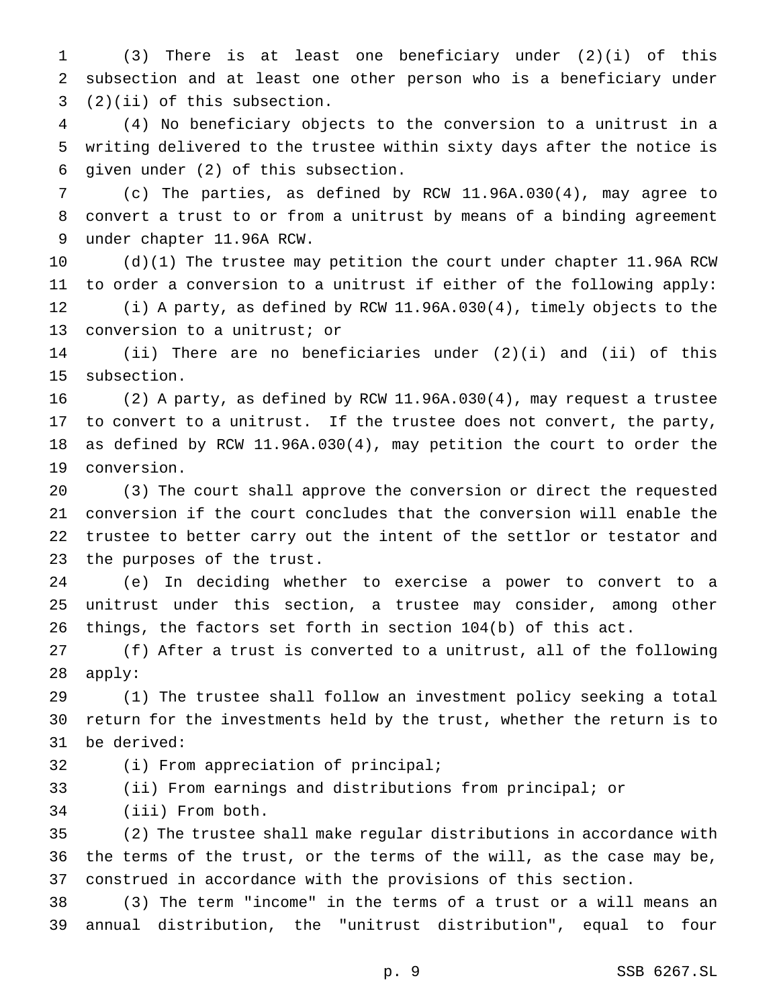(3) There is at least one beneficiary under (2)(i) of this subsection and at least one other person who is a beneficiary under (2)(ii) of this subsection.

 (4) No beneficiary objects to the conversion to a unitrust in a writing delivered to the trustee within sixty days after the notice is given under (2) of this subsection.

 (c) The parties, as defined by RCW 11.96A.030(4), may agree to convert a trust to or from a unitrust by means of a binding agreement under chapter 11.96A RCW.

 (d)(1) The trustee may petition the court under chapter 11.96A RCW to order a conversion to a unitrust if either of the following apply: (i) A party, as defined by RCW 11.96A.030(4), timely objects to the conversion to a unitrust; or

 (ii) There are no beneficiaries under (2)(i) and (ii) of this subsection.

 (2) A party, as defined by RCW 11.96A.030(4), may request a trustee to convert to a unitrust. If the trustee does not convert, the party, as defined by RCW 11.96A.030(4), may petition the court to order the conversion.

 (3) The court shall approve the conversion or direct the requested conversion if the court concludes that the conversion will enable the trustee to better carry out the intent of the settlor or testator and the purposes of the trust.

 (e) In deciding whether to exercise a power to convert to a unitrust under this section, a trustee may consider, among other things, the factors set forth in section 104(b) of this act.

 (f) After a trust is converted to a unitrust, all of the following apply:

 (1) The trustee shall follow an investment policy seeking a total return for the investments held by the trust, whether the return is to be derived:

(i) From appreciation of principal;

(ii) From earnings and distributions from principal; or

(iii) From both.

 (2) The trustee shall make regular distributions in accordance with the terms of the trust, or the terms of the will, as the case may be, construed in accordance with the provisions of this section.

 (3) The term "income" in the terms of a trust or a will means an annual distribution, the "unitrust distribution", equal to four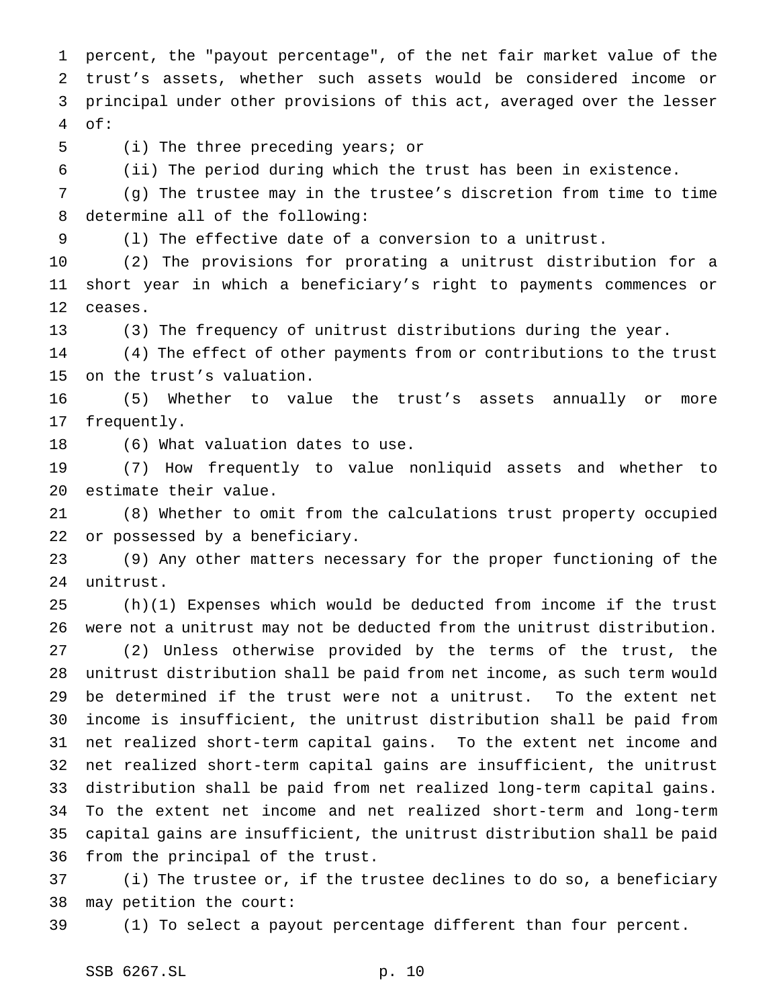percent, the "payout percentage", of the net fair market value of the trust's assets, whether such assets would be considered income or principal under other provisions of this act, averaged over the lesser of:

(i) The three preceding years; or

(ii) The period during which the trust has been in existence.

 (g) The trustee may in the trustee's discretion from time to time determine all of the following:

(l) The effective date of a conversion to a unitrust.

 (2) The provisions for prorating a unitrust distribution for a short year in which a beneficiary's right to payments commences or ceases.

(3) The frequency of unitrust distributions during the year.

 (4) The effect of other payments from or contributions to the trust on the trust's valuation.

 (5) Whether to value the trust's assets annually or more frequently.

(6) What valuation dates to use.

 (7) How frequently to value nonliquid assets and whether to estimate their value.

 (8) Whether to omit from the calculations trust property occupied or possessed by a beneficiary.

 (9) Any other matters necessary for the proper functioning of the unitrust.

 (h)(1) Expenses which would be deducted from income if the trust were not a unitrust may not be deducted from the unitrust distribution.

 (2) Unless otherwise provided by the terms of the trust, the unitrust distribution shall be paid from net income, as such term would be determined if the trust were not a unitrust. To the extent net income is insufficient, the unitrust distribution shall be paid from net realized short-term capital gains. To the extent net income and net realized short-term capital gains are insufficient, the unitrust distribution shall be paid from net realized long-term capital gains. To the extent net income and net realized short-term and long-term capital gains are insufficient, the unitrust distribution shall be paid from the principal of the trust.

 (i) The trustee or, if the trustee declines to do so, a beneficiary may petition the court:

(1) To select a payout percentage different than four percent.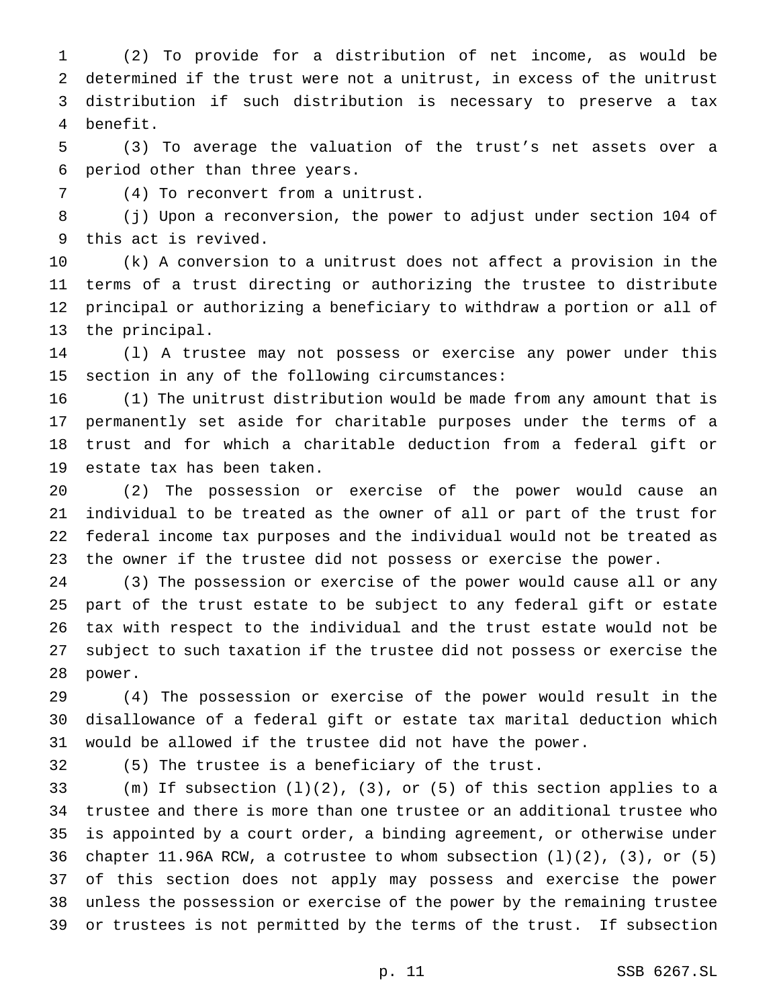(2) To provide for a distribution of net income, as would be determined if the trust were not a unitrust, in excess of the unitrust distribution if such distribution is necessary to preserve a tax benefit.

 (3) To average the valuation of the trust's net assets over a period other than three years.

(4) To reconvert from a unitrust.

 (j) Upon a reconversion, the power to adjust under section 104 of this act is revived.

 (k) A conversion to a unitrust does not affect a provision in the terms of a trust directing or authorizing the trustee to distribute principal or authorizing a beneficiary to withdraw a portion or all of the principal.

 (l) A trustee may not possess or exercise any power under this section in any of the following circumstances:

 (1) The unitrust distribution would be made from any amount that is permanently set aside for charitable purposes under the terms of a trust and for which a charitable deduction from a federal gift or estate tax has been taken.

 (2) The possession or exercise of the power would cause an individual to be treated as the owner of all or part of the trust for federal income tax purposes and the individual would not be treated as the owner if the trustee did not possess or exercise the power.

 (3) The possession or exercise of the power would cause all or any part of the trust estate to be subject to any federal gift or estate tax with respect to the individual and the trust estate would not be subject to such taxation if the trustee did not possess or exercise the power.

 (4) The possession or exercise of the power would result in the disallowance of a federal gift or estate tax marital deduction which would be allowed if the trustee did not have the power.

(5) The trustee is a beneficiary of the trust.

33 (m) If subsection  $(1)(2)$ ,  $(3)$ , or  $(5)$  of this section applies to a trustee and there is more than one trustee or an additional trustee who is appointed by a court order, a binding agreement, or otherwise under chapter 11.96A RCW, a cotrustee to whom subsection (l)(2), (3), or (5) of this section does not apply may possess and exercise the power unless the possession or exercise of the power by the remaining trustee or trustees is not permitted by the terms of the trust. If subsection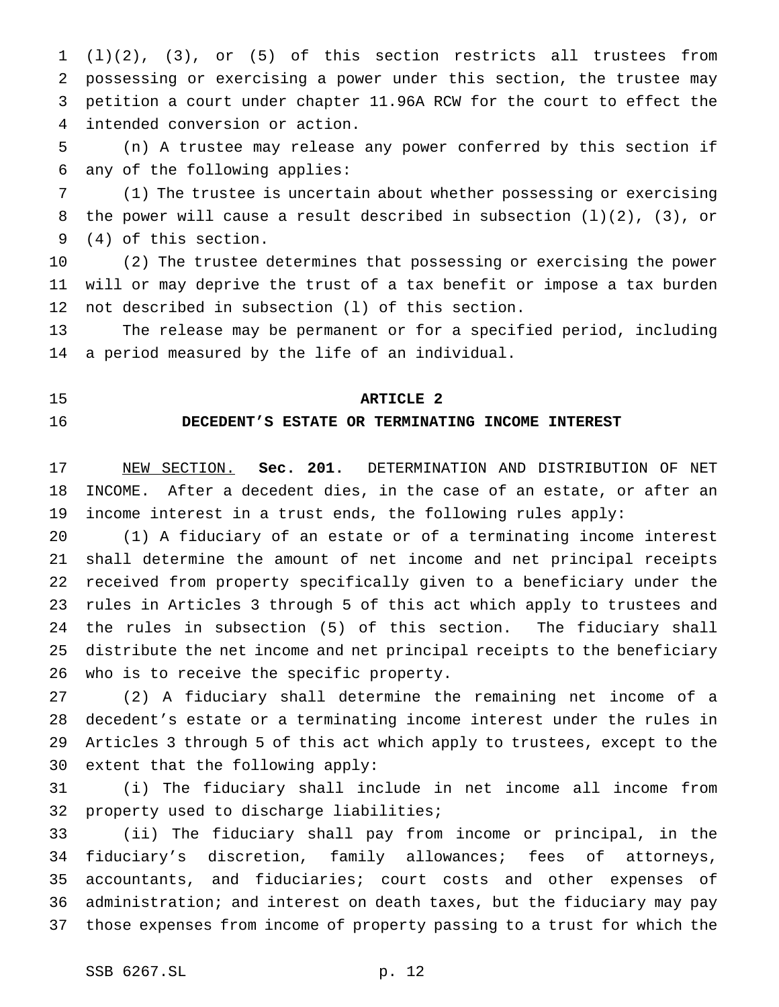(l)(2), (3), or (5) of this section restricts all trustees from possessing or exercising a power under this section, the trustee may petition a court under chapter 11.96A RCW for the court to effect the intended conversion or action.

 (n) A trustee may release any power conferred by this section if any of the following applies:

 (1) The trustee is uncertain about whether possessing or exercising the power will cause a result described in subsection (l)(2), (3), or (4) of this section.

 (2) The trustee determines that possessing or exercising the power will or may deprive the trust of a tax benefit or impose a tax burden not described in subsection (l) of this section.

 The release may be permanent or for a specified period, including a period measured by the life of an individual.

#### **ARTICLE 2**

### **DECEDENT'S ESTATE OR TERMINATING INCOME INTEREST**

 NEW SECTION. **Sec. 201.** DETERMINATION AND DISTRIBUTION OF NET INCOME. After a decedent dies, in the case of an estate, or after an income interest in a trust ends, the following rules apply:

 (1) A fiduciary of an estate or of a terminating income interest shall determine the amount of net income and net principal receipts received from property specifically given to a beneficiary under the rules in Articles 3 through 5 of this act which apply to trustees and the rules in subsection (5) of this section. The fiduciary shall distribute the net income and net principal receipts to the beneficiary who is to receive the specific property.

 (2) A fiduciary shall determine the remaining net income of a decedent's estate or a terminating income interest under the rules in Articles 3 through 5 of this act which apply to trustees, except to the extent that the following apply:

 (i) The fiduciary shall include in net income all income from property used to discharge liabilities;

 (ii) The fiduciary shall pay from income or principal, in the fiduciary's discretion, family allowances; fees of attorneys, accountants, and fiduciaries; court costs and other expenses of administration; and interest on death taxes, but the fiduciary may pay those expenses from income of property passing to a trust for which the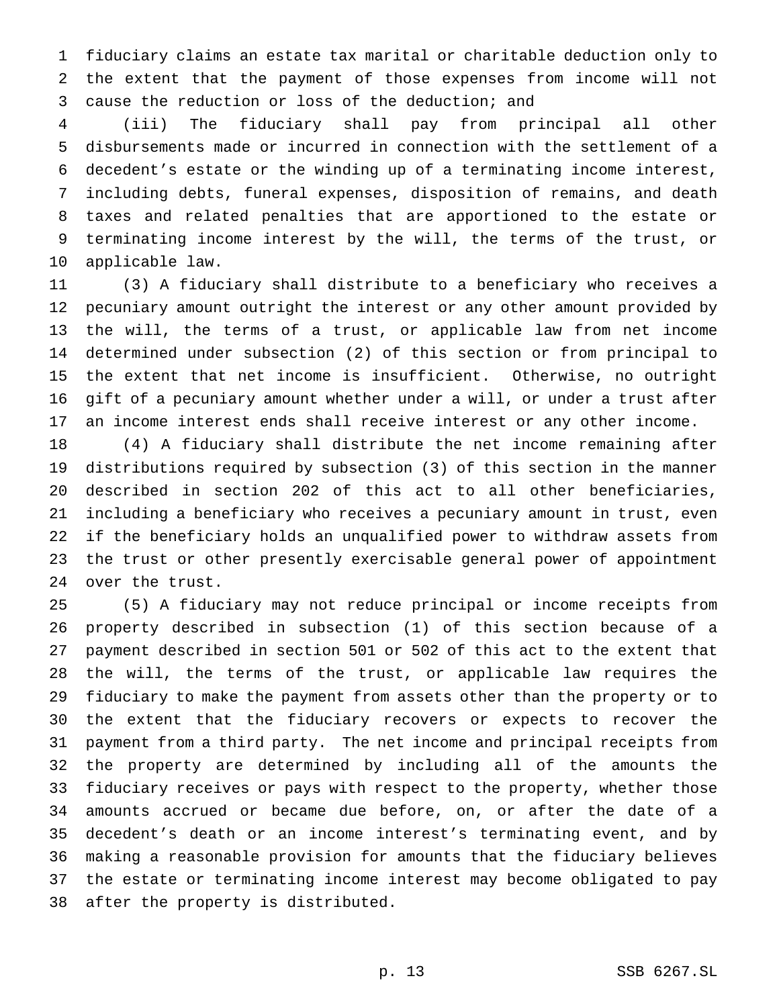fiduciary claims an estate tax marital or charitable deduction only to the extent that the payment of those expenses from income will not cause the reduction or loss of the deduction; and

 (iii) The fiduciary shall pay from principal all other disbursements made or incurred in connection with the settlement of a decedent's estate or the winding up of a terminating income interest, including debts, funeral expenses, disposition of remains, and death taxes and related penalties that are apportioned to the estate or terminating income interest by the will, the terms of the trust, or applicable law.

 (3) A fiduciary shall distribute to a beneficiary who receives a pecuniary amount outright the interest or any other amount provided by the will, the terms of a trust, or applicable law from net income determined under subsection (2) of this section or from principal to the extent that net income is insufficient. Otherwise, no outright gift of a pecuniary amount whether under a will, or under a trust after an income interest ends shall receive interest or any other income.

 (4) A fiduciary shall distribute the net income remaining after distributions required by subsection (3) of this section in the manner described in section 202 of this act to all other beneficiaries, including a beneficiary who receives a pecuniary amount in trust, even if the beneficiary holds an unqualified power to withdraw assets from the trust or other presently exercisable general power of appointment over the trust.

 (5) A fiduciary may not reduce principal or income receipts from property described in subsection (1) of this section because of a payment described in section 501 or 502 of this act to the extent that the will, the terms of the trust, or applicable law requires the fiduciary to make the payment from assets other than the property or to the extent that the fiduciary recovers or expects to recover the payment from a third party. The net income and principal receipts from the property are determined by including all of the amounts the fiduciary receives or pays with respect to the property, whether those amounts accrued or became due before, on, or after the date of a decedent's death or an income interest's terminating event, and by making a reasonable provision for amounts that the fiduciary believes the estate or terminating income interest may become obligated to pay after the property is distributed.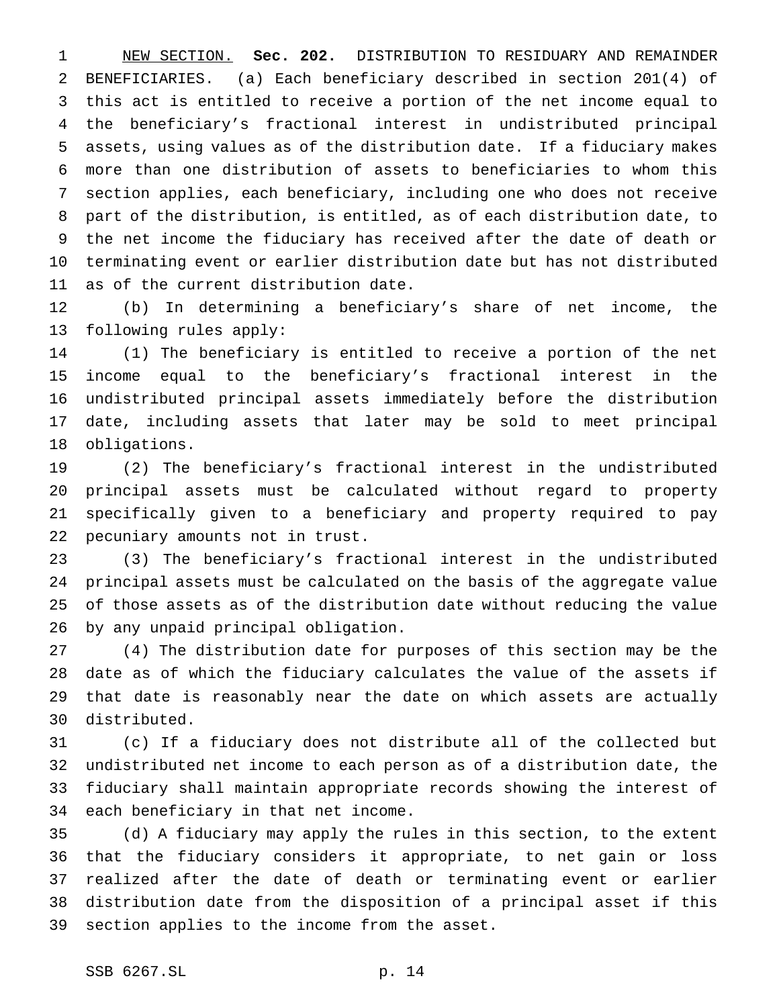NEW SECTION. **Sec. 202.** DISTRIBUTION TO RESIDUARY AND REMAINDER BENEFICIARIES. (a) Each beneficiary described in section 201(4) of this act is entitled to receive a portion of the net income equal to the beneficiary's fractional interest in undistributed principal assets, using values as of the distribution date. If a fiduciary makes more than one distribution of assets to beneficiaries to whom this section applies, each beneficiary, including one who does not receive part of the distribution, is entitled, as of each distribution date, to the net income the fiduciary has received after the date of death or terminating event or earlier distribution date but has not distributed as of the current distribution date.

 (b) In determining a beneficiary's share of net income, the following rules apply:

 (1) The beneficiary is entitled to receive a portion of the net income equal to the beneficiary's fractional interest in the undistributed principal assets immediately before the distribution date, including assets that later may be sold to meet principal obligations.

 (2) The beneficiary's fractional interest in the undistributed principal assets must be calculated without regard to property specifically given to a beneficiary and property required to pay pecuniary amounts not in trust.

 (3) The beneficiary's fractional interest in the undistributed principal assets must be calculated on the basis of the aggregate value of those assets as of the distribution date without reducing the value by any unpaid principal obligation.

 (4) The distribution date for purposes of this section may be the date as of which the fiduciary calculates the value of the assets if that date is reasonably near the date on which assets are actually distributed.

 (c) If a fiduciary does not distribute all of the collected but undistributed net income to each person as of a distribution date, the fiduciary shall maintain appropriate records showing the interest of each beneficiary in that net income.

 (d) A fiduciary may apply the rules in this section, to the extent that the fiduciary considers it appropriate, to net gain or loss realized after the date of death or terminating event or earlier distribution date from the disposition of a principal asset if this section applies to the income from the asset.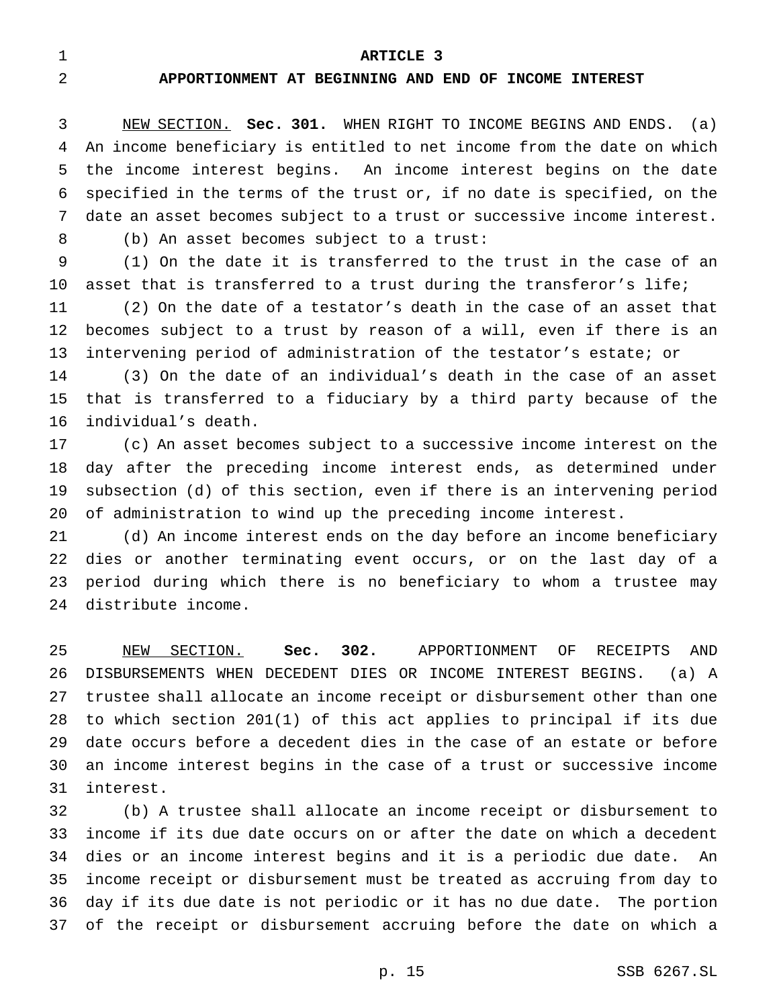#### **ARTICLE 3**

## **APPORTIONMENT AT BEGINNING AND END OF INCOME INTEREST**

 NEW SECTION. **Sec. 301.** WHEN RIGHT TO INCOME BEGINS AND ENDS. (a) An income beneficiary is entitled to net income from the date on which the income interest begins. An income interest begins on the date specified in the terms of the trust or, if no date is specified, on the date an asset becomes subject to a trust or successive income interest.

(b) An asset becomes subject to a trust:

 (1) On the date it is transferred to the trust in the case of an asset that is transferred to a trust during the transferor's life;

 (2) On the date of a testator's death in the case of an asset that becomes subject to a trust by reason of a will, even if there is an intervening period of administration of the testator's estate; or

 (3) On the date of an individual's death in the case of an asset that is transferred to a fiduciary by a third party because of the individual's death.

 (c) An asset becomes subject to a successive income interest on the day after the preceding income interest ends, as determined under subsection (d) of this section, even if there is an intervening period of administration to wind up the preceding income interest.

 (d) An income interest ends on the day before an income beneficiary dies or another terminating event occurs, or on the last day of a period during which there is no beneficiary to whom a trustee may distribute income.

 NEW SECTION. **Sec. 302.** APPORTIONMENT OF RECEIPTS AND DISBURSEMENTS WHEN DECEDENT DIES OR INCOME INTEREST BEGINS. (a) A trustee shall allocate an income receipt or disbursement other than one to which section 201(1) of this act applies to principal if its due date occurs before a decedent dies in the case of an estate or before an income interest begins in the case of a trust or successive income interest.

 (b) A trustee shall allocate an income receipt or disbursement to income if its due date occurs on or after the date on which a decedent dies or an income interest begins and it is a periodic due date. An income receipt or disbursement must be treated as accruing from day to day if its due date is not periodic or it has no due date. The portion of the receipt or disbursement accruing before the date on which a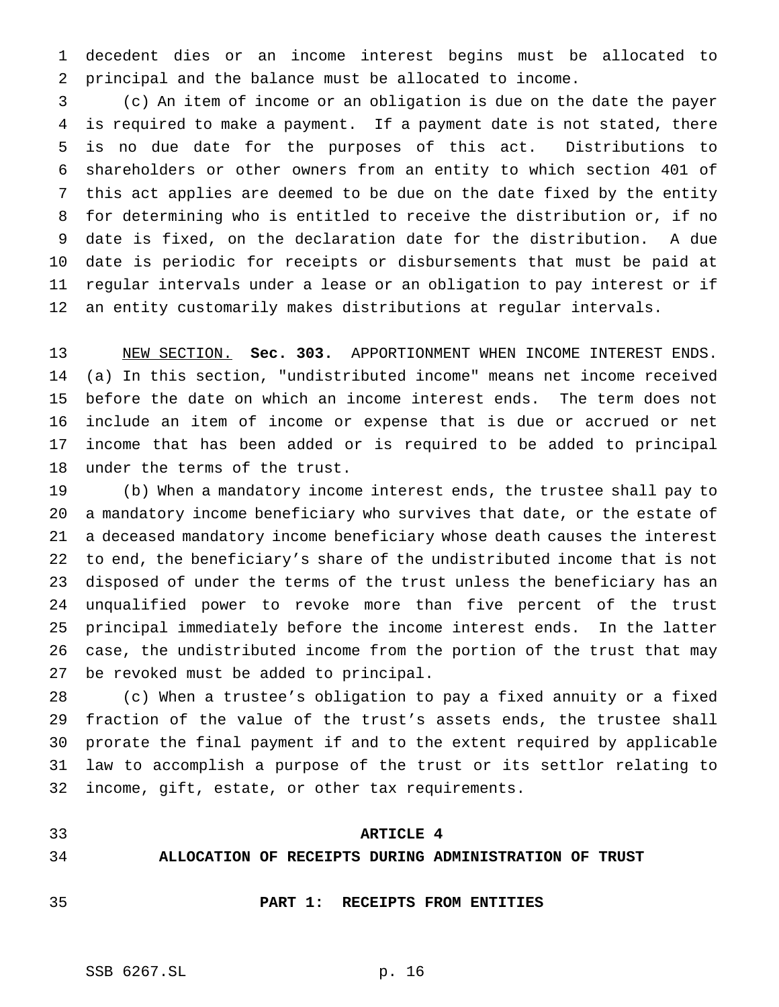decedent dies or an income interest begins must be allocated to principal and the balance must be allocated to income.

 (c) An item of income or an obligation is due on the date the payer is required to make a payment. If a payment date is not stated, there is no due date for the purposes of this act. Distributions to shareholders or other owners from an entity to which section 401 of this act applies are deemed to be due on the date fixed by the entity for determining who is entitled to receive the distribution or, if no date is fixed, on the declaration date for the distribution. A due date is periodic for receipts or disbursements that must be paid at regular intervals under a lease or an obligation to pay interest or if an entity customarily makes distributions at regular intervals.

 NEW SECTION. **Sec. 303.** APPORTIONMENT WHEN INCOME INTEREST ENDS. (a) In this section, "undistributed income" means net income received before the date on which an income interest ends. The term does not include an item of income or expense that is due or accrued or net income that has been added or is required to be added to principal under the terms of the trust.

 (b) When a mandatory income interest ends, the trustee shall pay to a mandatory income beneficiary who survives that date, or the estate of a deceased mandatory income beneficiary whose death causes the interest to end, the beneficiary's share of the undistributed income that is not disposed of under the terms of the trust unless the beneficiary has an unqualified power to revoke more than five percent of the trust principal immediately before the income interest ends. In the latter case, the undistributed income from the portion of the trust that may be revoked must be added to principal.

 (c) When a trustee's obligation to pay a fixed annuity or a fixed fraction of the value of the trust's assets ends, the trustee shall prorate the final payment if and to the extent required by applicable law to accomplish a purpose of the trust or its settlor relating to income, gift, estate, or other tax requirements.

**ARTICLE 4**

**ALLOCATION OF RECEIPTS DURING ADMINISTRATION OF TRUST**

#### **PART 1: RECEIPTS FROM ENTITIES**

SSB 6267.SL p. 16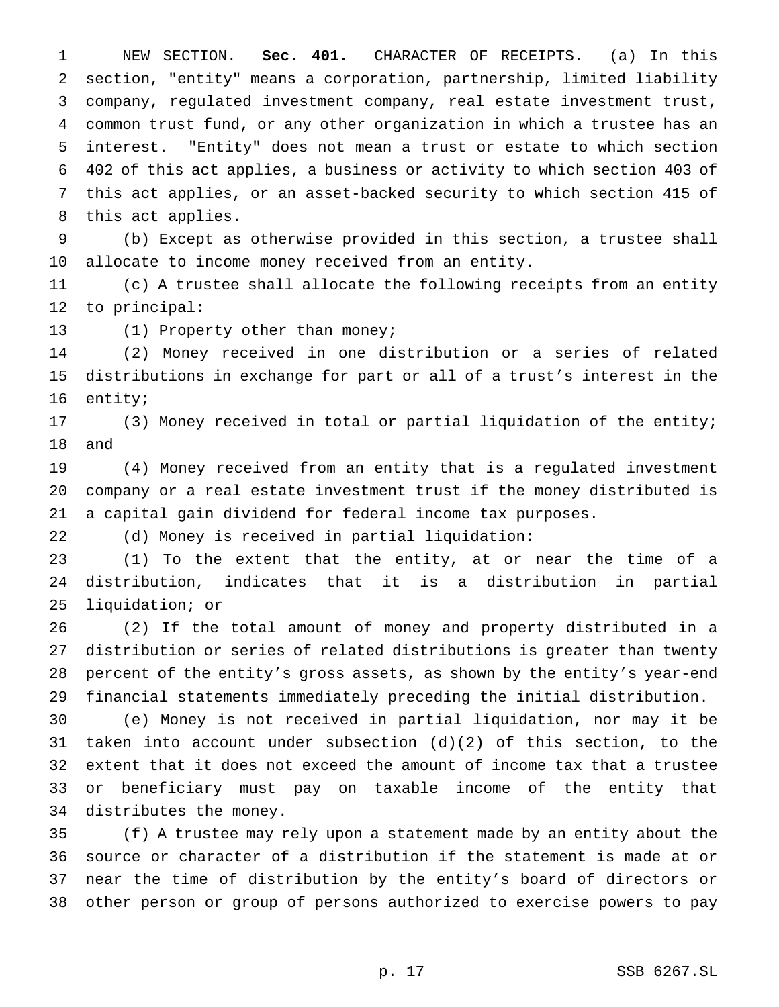NEW SECTION. **Sec. 401.** CHARACTER OF RECEIPTS. (a) In this section, "entity" means a corporation, partnership, limited liability company, regulated investment company, real estate investment trust, common trust fund, or any other organization in which a trustee has an interest. "Entity" does not mean a trust or estate to which section 402 of this act applies, a business or activity to which section 403 of this act applies, or an asset-backed security to which section 415 of this act applies.

 (b) Except as otherwise provided in this section, a trustee shall allocate to income money received from an entity.

 (c) A trustee shall allocate the following receipts from an entity to principal:

13 (1) Property other than money;

 (2) Money received in one distribution or a series of related distributions in exchange for part or all of a trust's interest in the entity;

 (3) Money received in total or partial liquidation of the entity; and

 (4) Money received from an entity that is a regulated investment company or a real estate investment trust if the money distributed is a capital gain dividend for federal income tax purposes.

(d) Money is received in partial liquidation:

 (1) To the extent that the entity, at or near the time of a distribution, indicates that it is a distribution in partial liquidation; or

 (2) If the total amount of money and property distributed in a distribution or series of related distributions is greater than twenty percent of the entity's gross assets, as shown by the entity's year-end financial statements immediately preceding the initial distribution.

 (e) Money is not received in partial liquidation, nor may it be taken into account under subsection (d)(2) of this section, to the extent that it does not exceed the amount of income tax that a trustee or beneficiary must pay on taxable income of the entity that distributes the money.

 (f) A trustee may rely upon a statement made by an entity about the source or character of a distribution if the statement is made at or near the time of distribution by the entity's board of directors or other person or group of persons authorized to exercise powers to pay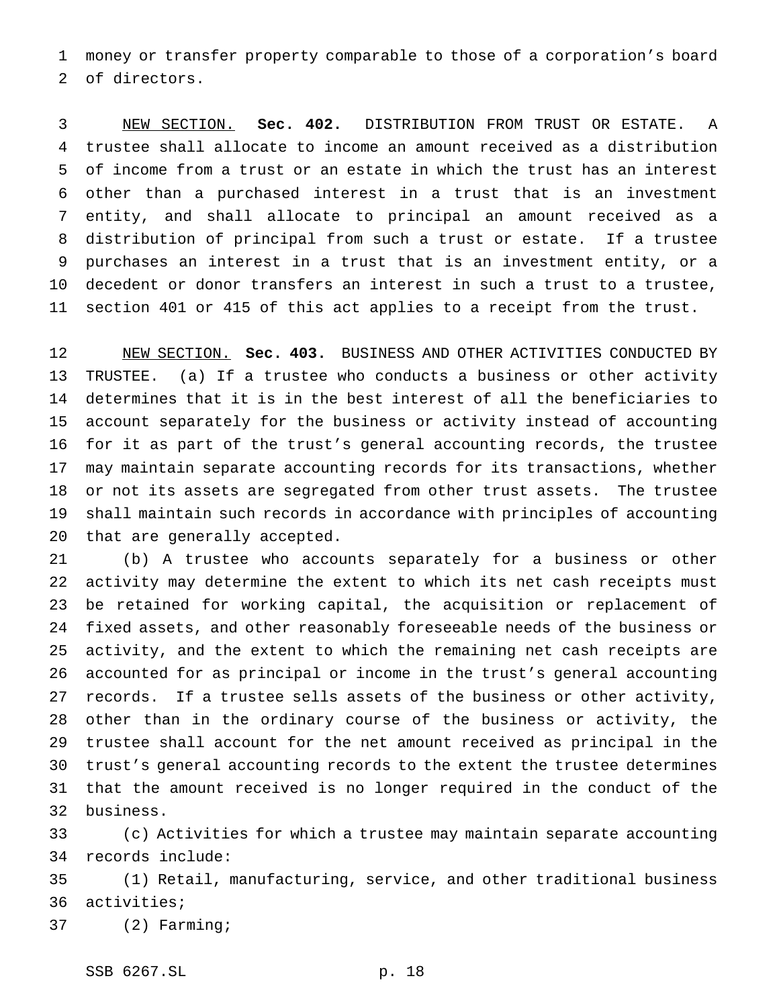money or transfer property comparable to those of a corporation's board of directors.

 NEW SECTION. **Sec. 402.** DISTRIBUTION FROM TRUST OR ESTATE. A trustee shall allocate to income an amount received as a distribution of income from a trust or an estate in which the trust has an interest other than a purchased interest in a trust that is an investment entity, and shall allocate to principal an amount received as a distribution of principal from such a trust or estate. If a trustee purchases an interest in a trust that is an investment entity, or a decedent or donor transfers an interest in such a trust to a trustee, section 401 or 415 of this act applies to a receipt from the trust.

 NEW SECTION. **Sec. 403.** BUSINESS AND OTHER ACTIVITIES CONDUCTED BY TRUSTEE. (a) If a trustee who conducts a business or other activity determines that it is in the best interest of all the beneficiaries to account separately for the business or activity instead of accounting for it as part of the trust's general accounting records, the trustee may maintain separate accounting records for its transactions, whether or not its assets are segregated from other trust assets. The trustee shall maintain such records in accordance with principles of accounting that are generally accepted.

 (b) A trustee who accounts separately for a business or other activity may determine the extent to which its net cash receipts must be retained for working capital, the acquisition or replacement of fixed assets, and other reasonably foreseeable needs of the business or activity, and the extent to which the remaining net cash receipts are accounted for as principal or income in the trust's general accounting records. If a trustee sells assets of the business or other activity, other than in the ordinary course of the business or activity, the trustee shall account for the net amount received as principal in the trust's general accounting records to the extent the trustee determines that the amount received is no longer required in the conduct of the business.

 (c) Activities for which a trustee may maintain separate accounting records include:

 (1) Retail, manufacturing, service, and other traditional business activities;

(2) Farming;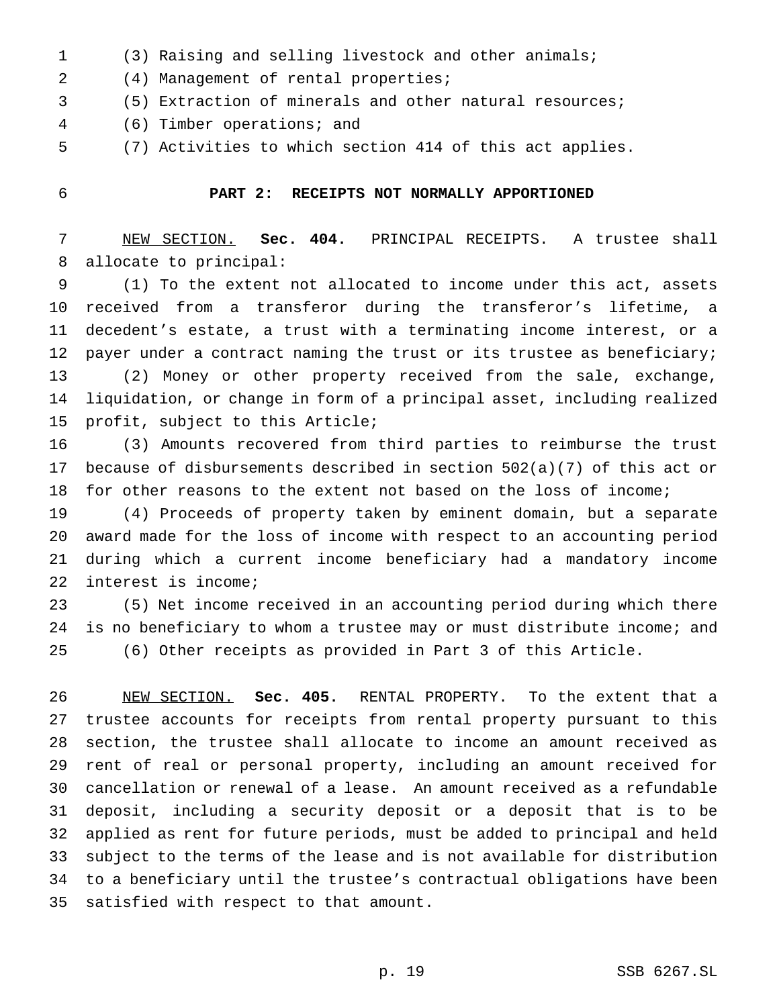(3) Raising and selling livestock and other animals;

(4) Management of rental properties;

- (5) Extraction of minerals and other natural resources;
- (6) Timber operations; and
- (7) Activities to which section 414 of this act applies.
- 

### **PART 2: RECEIPTS NOT NORMALLY APPORTIONED**

 NEW SECTION. **Sec. 404.** PRINCIPAL RECEIPTS. A trustee shall allocate to principal:

 (1) To the extent not allocated to income under this act, assets received from a transferor during the transferor's lifetime, a decedent's estate, a trust with a terminating income interest, or a 12 payer under a contract naming the trust or its trustee as beneficiary; (2) Money or other property received from the sale, exchange, liquidation, or change in form of a principal asset, including realized profit, subject to this Article;

 (3) Amounts recovered from third parties to reimburse the trust because of disbursements described in section 502(a)(7) of this act or for other reasons to the extent not based on the loss of income;

 (4) Proceeds of property taken by eminent domain, but a separate award made for the loss of income with respect to an accounting period during which a current income beneficiary had a mandatory income interest is income;

 (5) Net income received in an accounting period during which there is no beneficiary to whom a trustee may or must distribute income; and (6) Other receipts as provided in Part 3 of this Article.

 NEW SECTION. **Sec. 405.** RENTAL PROPERTY. To the extent that a trustee accounts for receipts from rental property pursuant to this section, the trustee shall allocate to income an amount received as rent of real or personal property, including an amount received for cancellation or renewal of a lease. An amount received as a refundable deposit, including a security deposit or a deposit that is to be applied as rent for future periods, must be added to principal and held subject to the terms of the lease and is not available for distribution to a beneficiary until the trustee's contractual obligations have been satisfied with respect to that amount.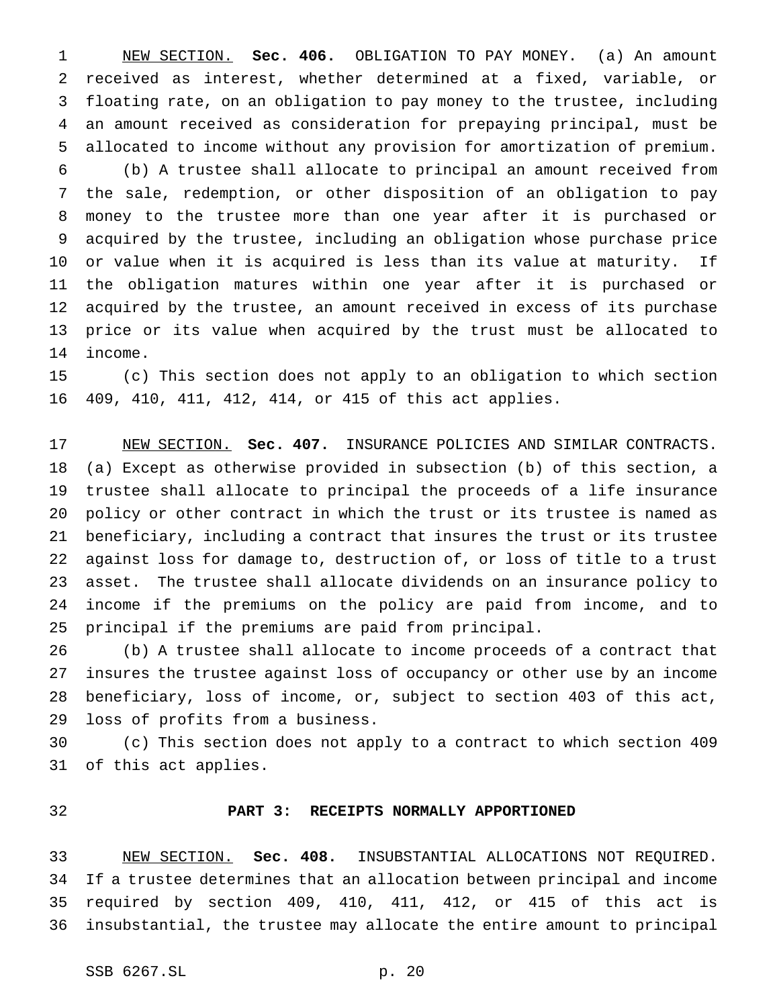NEW SECTION. **Sec. 406.** OBLIGATION TO PAY MONEY. (a) An amount received as interest, whether determined at a fixed, variable, or floating rate, on an obligation to pay money to the trustee, including an amount received as consideration for prepaying principal, must be allocated to income without any provision for amortization of premium.

 (b) A trustee shall allocate to principal an amount received from the sale, redemption, or other disposition of an obligation to pay money to the trustee more than one year after it is purchased or acquired by the trustee, including an obligation whose purchase price or value when it is acquired is less than its value at maturity. If the obligation matures within one year after it is purchased or acquired by the trustee, an amount received in excess of its purchase price or its value when acquired by the trust must be allocated to income.

 (c) This section does not apply to an obligation to which section 409, 410, 411, 412, 414, or 415 of this act applies.

 NEW SECTION. **Sec. 407.** INSURANCE POLICIES AND SIMILAR CONTRACTS. (a) Except as otherwise provided in subsection (b) of this section, a trustee shall allocate to principal the proceeds of a life insurance policy or other contract in which the trust or its trustee is named as beneficiary, including a contract that insures the trust or its trustee against loss for damage to, destruction of, or loss of title to a trust asset. The trustee shall allocate dividends on an insurance policy to income if the premiums on the policy are paid from income, and to principal if the premiums are paid from principal.

 (b) A trustee shall allocate to income proceeds of a contract that insures the trustee against loss of occupancy or other use by an income beneficiary, loss of income, or, subject to section 403 of this act, loss of profits from a business.

 (c) This section does not apply to a contract to which section 409 of this act applies.

#### **PART 3: RECEIPTS NORMALLY APPORTIONED**

 NEW SECTION. **Sec. 408.** INSUBSTANTIAL ALLOCATIONS NOT REQUIRED. If a trustee determines that an allocation between principal and income required by section 409, 410, 411, 412, or 415 of this act is insubstantial, the trustee may allocate the entire amount to principal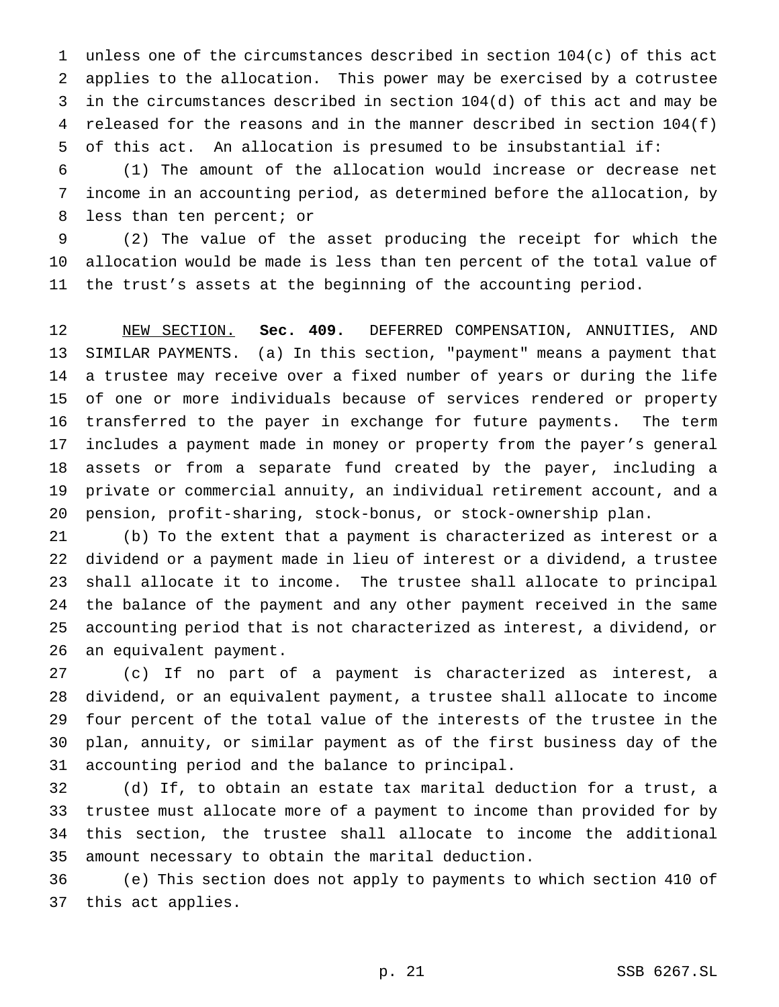unless one of the circumstances described in section 104(c) of this act applies to the allocation. This power may be exercised by a cotrustee in the circumstances described in section 104(d) of this act and may be released for the reasons and in the manner described in section 104(f) of this act. An allocation is presumed to be insubstantial if:

 (1) The amount of the allocation would increase or decrease net income in an accounting period, as determined before the allocation, by less than ten percent; or

 (2) The value of the asset producing the receipt for which the allocation would be made is less than ten percent of the total value of the trust's assets at the beginning of the accounting period.

 NEW SECTION. **Sec. 409.** DEFERRED COMPENSATION, ANNUITIES, AND SIMILAR PAYMENTS. (a) In this section, "payment" means a payment that a trustee may receive over a fixed number of years or during the life of one or more individuals because of services rendered or property transferred to the payer in exchange for future payments. The term includes a payment made in money or property from the payer's general assets or from a separate fund created by the payer, including a private or commercial annuity, an individual retirement account, and a pension, profit-sharing, stock-bonus, or stock-ownership plan.

 (b) To the extent that a payment is characterized as interest or a dividend or a payment made in lieu of interest or a dividend, a trustee shall allocate it to income. The trustee shall allocate to principal the balance of the payment and any other payment received in the same accounting period that is not characterized as interest, a dividend, or an equivalent payment.

 (c) If no part of a payment is characterized as interest, a dividend, or an equivalent payment, a trustee shall allocate to income four percent of the total value of the interests of the trustee in the plan, annuity, or similar payment as of the first business day of the accounting period and the balance to principal.

 (d) If, to obtain an estate tax marital deduction for a trust, a trustee must allocate more of a payment to income than provided for by this section, the trustee shall allocate to income the additional amount necessary to obtain the marital deduction.

 (e) This section does not apply to payments to which section 410 of this act applies.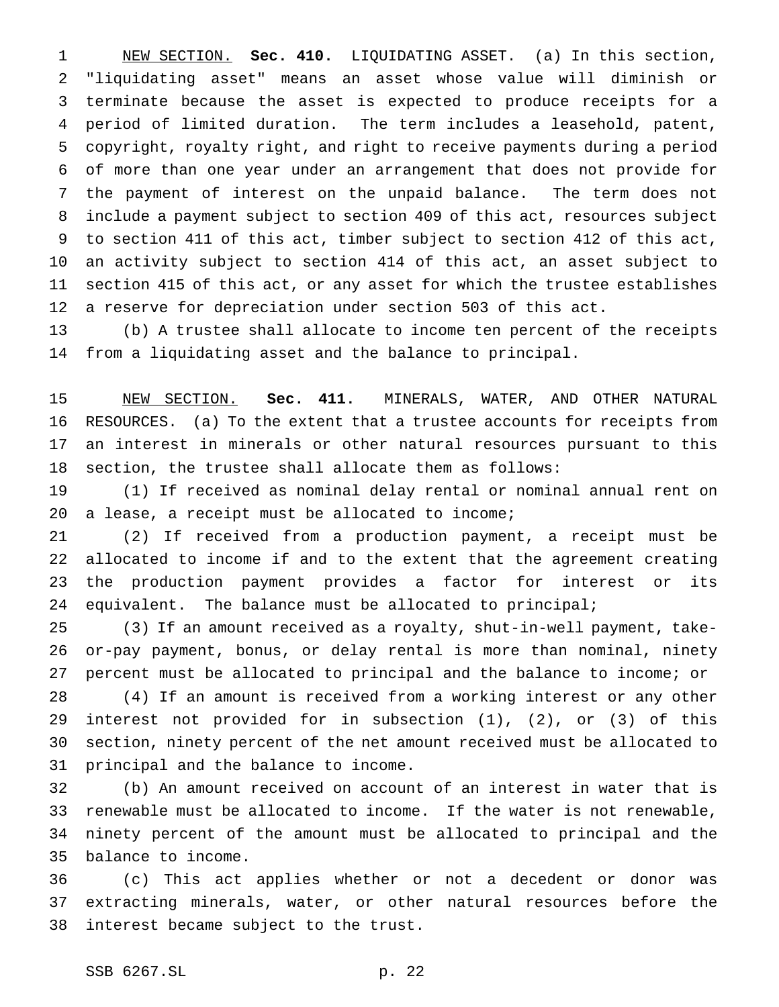NEW SECTION. **Sec. 410.** LIQUIDATING ASSET. (a) In this section, "liquidating asset" means an asset whose value will diminish or terminate because the asset is expected to produce receipts for a period of limited duration. The term includes a leasehold, patent, copyright, royalty right, and right to receive payments during a period of more than one year under an arrangement that does not provide for the payment of interest on the unpaid balance. The term does not include a payment subject to section 409 of this act, resources subject to section 411 of this act, timber subject to section 412 of this act, an activity subject to section 414 of this act, an asset subject to section 415 of this act, or any asset for which the trustee establishes a reserve for depreciation under section 503 of this act.

 (b) A trustee shall allocate to income ten percent of the receipts from a liquidating asset and the balance to principal.

 NEW SECTION. **Sec. 411.** MINERALS, WATER, AND OTHER NATURAL RESOURCES. (a) To the extent that a trustee accounts for receipts from an interest in minerals or other natural resources pursuant to this section, the trustee shall allocate them as follows:

 (1) If received as nominal delay rental or nominal annual rent on a lease, a receipt must be allocated to income;

 (2) If received from a production payment, a receipt must be allocated to income if and to the extent that the agreement creating the production payment provides a factor for interest or its 24 equivalent. The balance must be allocated to principal;

 (3) If an amount received as a royalty, shut-in-well payment, take- or-pay payment, bonus, or delay rental is more than nominal, ninety percent must be allocated to principal and the balance to income; or

 (4) If an amount is received from a working interest or any other interest not provided for in subsection (1), (2), or (3) of this section, ninety percent of the net amount received must be allocated to principal and the balance to income.

 (b) An amount received on account of an interest in water that is renewable must be allocated to income. If the water is not renewable, ninety percent of the amount must be allocated to principal and the balance to income.

 (c) This act applies whether or not a decedent or donor was extracting minerals, water, or other natural resources before the interest became subject to the trust.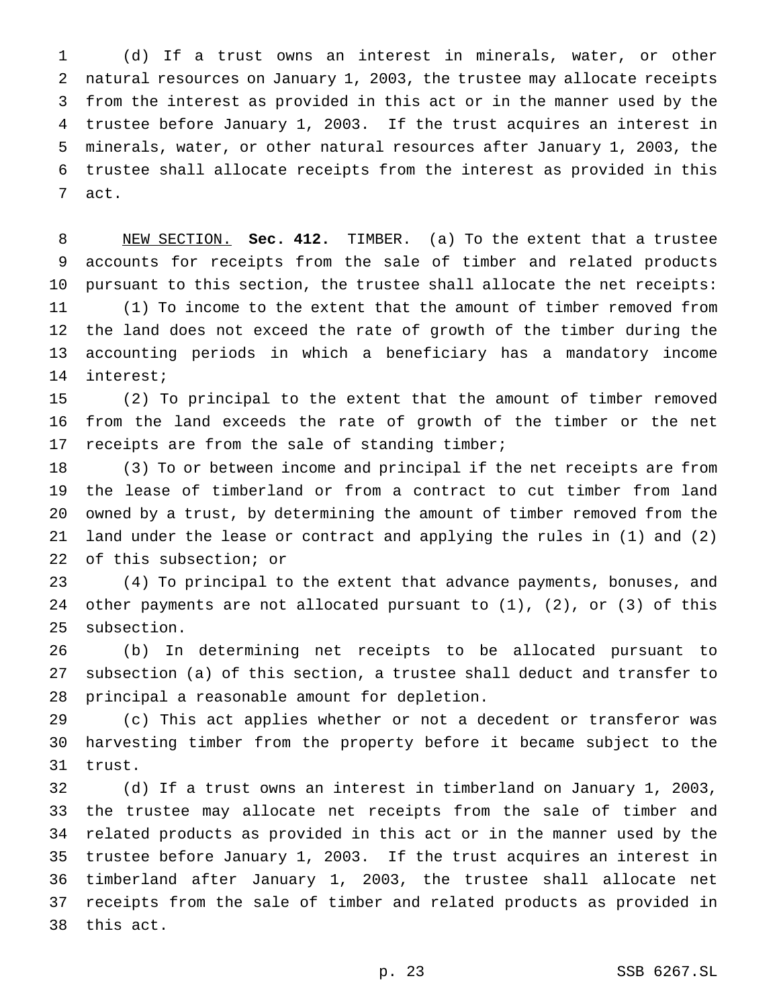(d) If a trust owns an interest in minerals, water, or other natural resources on January 1, 2003, the trustee may allocate receipts from the interest as provided in this act or in the manner used by the trustee before January 1, 2003. If the trust acquires an interest in minerals, water, or other natural resources after January 1, 2003, the trustee shall allocate receipts from the interest as provided in this act.

 NEW SECTION. **Sec. 412.** TIMBER. (a) To the extent that a trustee accounts for receipts from the sale of timber and related products pursuant to this section, the trustee shall allocate the net receipts: (1) To income to the extent that the amount of timber removed from the land does not exceed the rate of growth of the timber during the accounting periods in which a beneficiary has a mandatory income interest;

 (2) To principal to the extent that the amount of timber removed from the land exceeds the rate of growth of the timber or the net 17 receipts are from the sale of standing timber;

 (3) To or between income and principal if the net receipts are from the lease of timberland or from a contract to cut timber from land owned by a trust, by determining the amount of timber removed from the land under the lease or contract and applying the rules in (1) and (2) of this subsection; or

 (4) To principal to the extent that advance payments, bonuses, and other payments are not allocated pursuant to (1), (2), or (3) of this subsection.

 (b) In determining net receipts to be allocated pursuant to subsection (a) of this section, a trustee shall deduct and transfer to principal a reasonable amount for depletion.

 (c) This act applies whether or not a decedent or transferor was harvesting timber from the property before it became subject to the trust.

 (d) If a trust owns an interest in timberland on January 1, 2003, the trustee may allocate net receipts from the sale of timber and related products as provided in this act or in the manner used by the trustee before January 1, 2003. If the trust acquires an interest in timberland after January 1, 2003, the trustee shall allocate net receipts from the sale of timber and related products as provided in this act.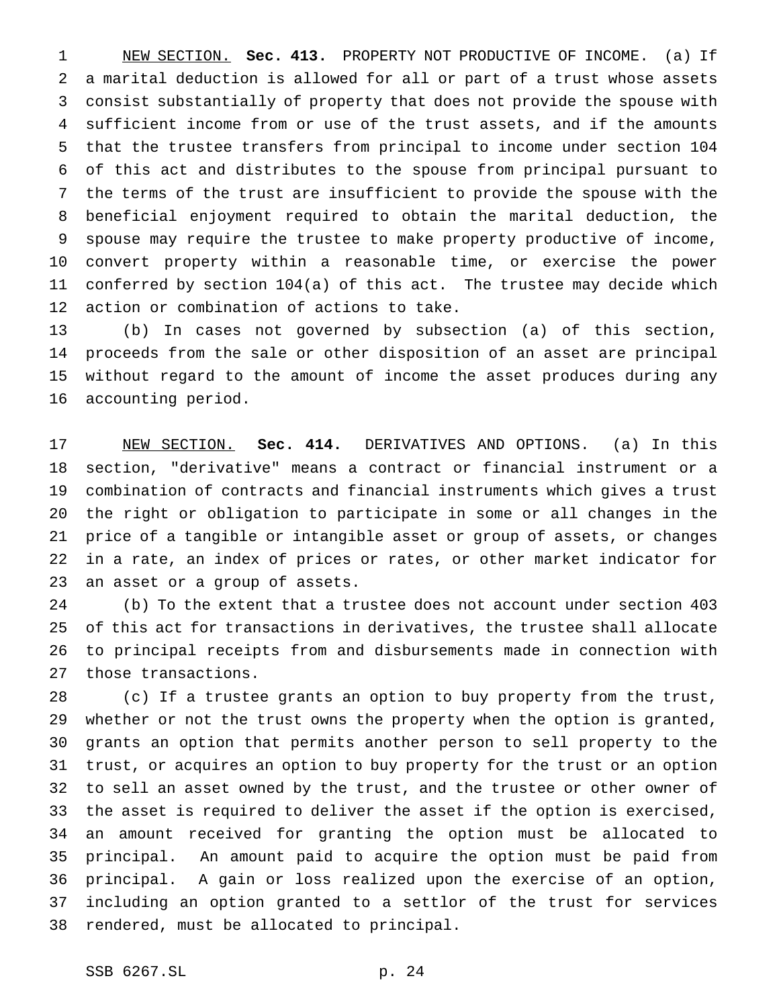NEW SECTION. **Sec. 413.** PROPERTY NOT PRODUCTIVE OF INCOME. (a) If a marital deduction is allowed for all or part of a trust whose assets consist substantially of property that does not provide the spouse with sufficient income from or use of the trust assets, and if the amounts that the trustee transfers from principal to income under section 104 of this act and distributes to the spouse from principal pursuant to the terms of the trust are insufficient to provide the spouse with the beneficial enjoyment required to obtain the marital deduction, the spouse may require the trustee to make property productive of income, convert property within a reasonable time, or exercise the power conferred by section 104(a) of this act. The trustee may decide which action or combination of actions to take.

 (b) In cases not governed by subsection (a) of this section, proceeds from the sale or other disposition of an asset are principal without regard to the amount of income the asset produces during any accounting period.

 NEW SECTION. **Sec. 414.** DERIVATIVES AND OPTIONS. (a) In this section, "derivative" means a contract or financial instrument or a combination of contracts and financial instruments which gives a trust the right or obligation to participate in some or all changes in the price of a tangible or intangible asset or group of assets, or changes in a rate, an index of prices or rates, or other market indicator for an asset or a group of assets.

 (b) To the extent that a trustee does not account under section 403 of this act for transactions in derivatives, the trustee shall allocate to principal receipts from and disbursements made in connection with those transactions.

 (c) If a trustee grants an option to buy property from the trust, whether or not the trust owns the property when the option is granted, grants an option that permits another person to sell property to the trust, or acquires an option to buy property for the trust or an option to sell an asset owned by the trust, and the trustee or other owner of the asset is required to deliver the asset if the option is exercised, an amount received for granting the option must be allocated to principal. An amount paid to acquire the option must be paid from principal. A gain or loss realized upon the exercise of an option, including an option granted to a settlor of the trust for services rendered, must be allocated to principal.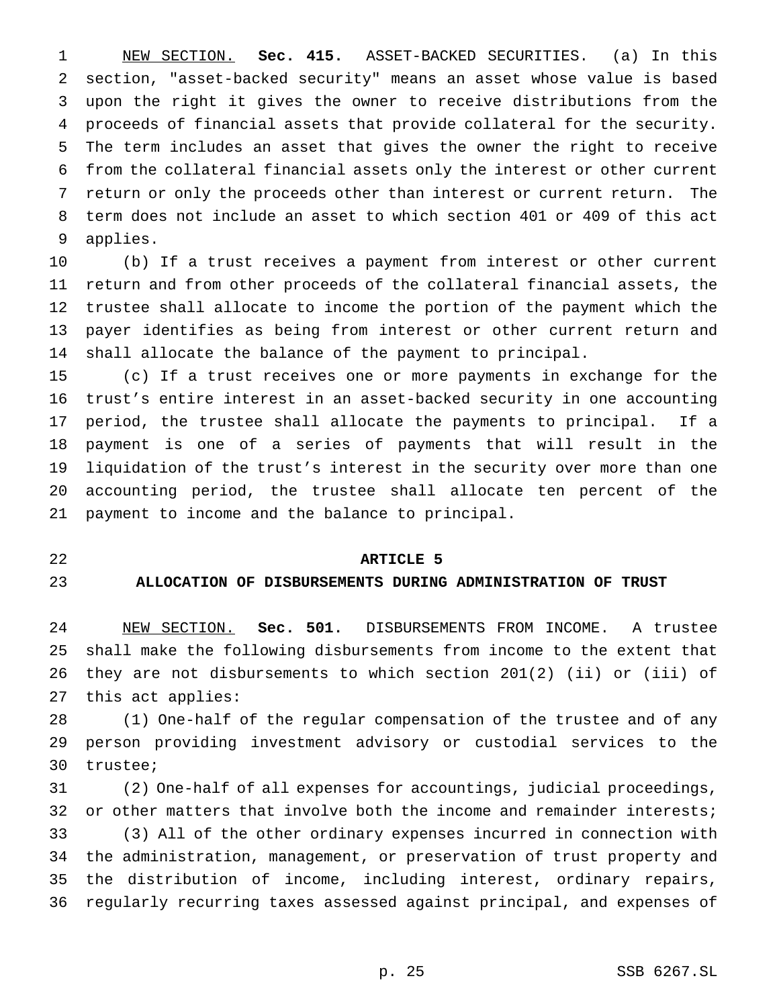NEW SECTION. **Sec. 415.** ASSET-BACKED SECURITIES. (a) In this section, "asset-backed security" means an asset whose value is based upon the right it gives the owner to receive distributions from the proceeds of financial assets that provide collateral for the security. The term includes an asset that gives the owner the right to receive from the collateral financial assets only the interest or other current return or only the proceeds other than interest or current return. The term does not include an asset to which section 401 or 409 of this act applies.

 (b) If a trust receives a payment from interest or other current return and from other proceeds of the collateral financial assets, the trustee shall allocate to income the portion of the payment which the payer identifies as being from interest or other current return and shall allocate the balance of the payment to principal.

 (c) If a trust receives one or more payments in exchange for the trust's entire interest in an asset-backed security in one accounting period, the trustee shall allocate the payments to principal. If a payment is one of a series of payments that will result in the liquidation of the trust's interest in the security over more than one accounting period, the trustee shall allocate ten percent of the payment to income and the balance to principal.

### **ARTICLE 5**

# **ALLOCATION OF DISBURSEMENTS DURING ADMINISTRATION OF TRUST**

 NEW SECTION. **Sec. 501.** DISBURSEMENTS FROM INCOME. A trustee shall make the following disbursements from income to the extent that they are not disbursements to which section 201(2) (ii) or (iii) of this act applies:

 (1) One-half of the regular compensation of the trustee and of any person providing investment advisory or custodial services to the trustee;

 (2) One-half of all expenses for accountings, judicial proceedings, 32 or other matters that involve both the income and remainder interests; (3) All of the other ordinary expenses incurred in connection with the administration, management, or preservation of trust property and the distribution of income, including interest, ordinary repairs, regularly recurring taxes assessed against principal, and expenses of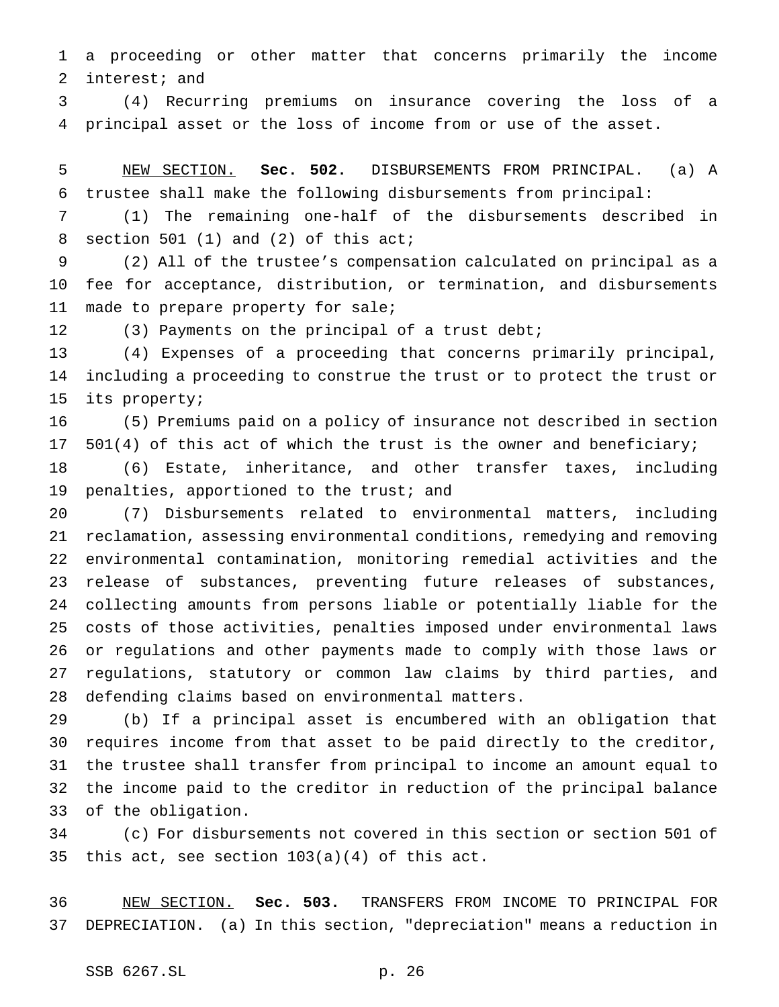a proceeding or other matter that concerns primarily the income interest; and

 (4) Recurring premiums on insurance covering the loss of a principal asset or the loss of income from or use of the asset.

 NEW SECTION. **Sec. 502.** DISBURSEMENTS FROM PRINCIPAL. (a) A trustee shall make the following disbursements from principal:

 (1) The remaining one-half of the disbursements described in section 501 (1) and (2) of this act;

 (2) All of the trustee's compensation calculated on principal as a fee for acceptance, distribution, or termination, and disbursements 11 made to prepare property for sale;

(3) Payments on the principal of a trust debt;

 (4) Expenses of a proceeding that concerns primarily principal, including a proceeding to construe the trust or to protect the trust or its property;

 (5) Premiums paid on a policy of insurance not described in section 501(4) of this act of which the trust is the owner and beneficiary;

 (6) Estate, inheritance, and other transfer taxes, including 19 penalties, apportioned to the trust; and

 (7) Disbursements related to environmental matters, including reclamation, assessing environmental conditions, remedying and removing environmental contamination, monitoring remedial activities and the release of substances, preventing future releases of substances, collecting amounts from persons liable or potentially liable for the costs of those activities, penalties imposed under environmental laws or regulations and other payments made to comply with those laws or regulations, statutory or common law claims by third parties, and defending claims based on environmental matters.

 (b) If a principal asset is encumbered with an obligation that requires income from that asset to be paid directly to the creditor, the trustee shall transfer from principal to income an amount equal to the income paid to the creditor in reduction of the principal balance of the obligation.

 (c) For disbursements not covered in this section or section 501 of this act, see section 103(a)(4) of this act.

 NEW SECTION. **Sec. 503.** TRANSFERS FROM INCOME TO PRINCIPAL FOR DEPRECIATION. (a) In this section, "depreciation" means a reduction in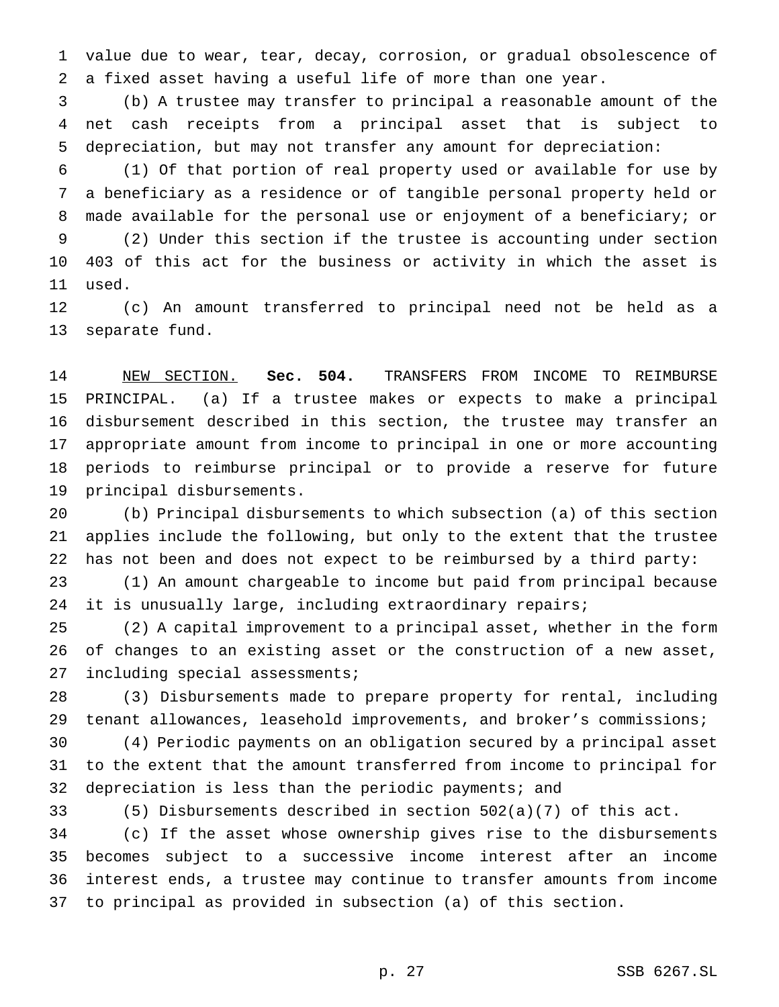value due to wear, tear, decay, corrosion, or gradual obsolescence of a fixed asset having a useful life of more than one year.

 (b) A trustee may transfer to principal a reasonable amount of the net cash receipts from a principal asset that is subject to depreciation, but may not transfer any amount for depreciation:

 (1) Of that portion of real property used or available for use by a beneficiary as a residence or of tangible personal property held or made available for the personal use or enjoyment of a beneficiary; or (2) Under this section if the trustee is accounting under section 403 of this act for the business or activity in which the asset is used.

 (c) An amount transferred to principal need not be held as a separate fund.

 NEW SECTION. **Sec. 504.** TRANSFERS FROM INCOME TO REIMBURSE PRINCIPAL. (a) If a trustee makes or expects to make a principal disbursement described in this section, the trustee may transfer an appropriate amount from income to principal in one or more accounting periods to reimburse principal or to provide a reserve for future principal disbursements.

 (b) Principal disbursements to which subsection (a) of this section applies include the following, but only to the extent that the trustee has not been and does not expect to be reimbursed by a third party:

 (1) An amount chargeable to income but paid from principal because it is unusually large, including extraordinary repairs;

 (2) A capital improvement to a principal asset, whether in the form of changes to an existing asset or the construction of a new asset, 27 including special assessments;

 (3) Disbursements made to prepare property for rental, including tenant allowances, leasehold improvements, and broker's commissions;

 (4) Periodic payments on an obligation secured by a principal asset to the extent that the amount transferred from income to principal for depreciation is less than the periodic payments; and

(5) Disbursements described in section 502(a)(7) of this act.

 (c) If the asset whose ownership gives rise to the disbursements becomes subject to a successive income interest after an income interest ends, a trustee may continue to transfer amounts from income to principal as provided in subsection (a) of this section.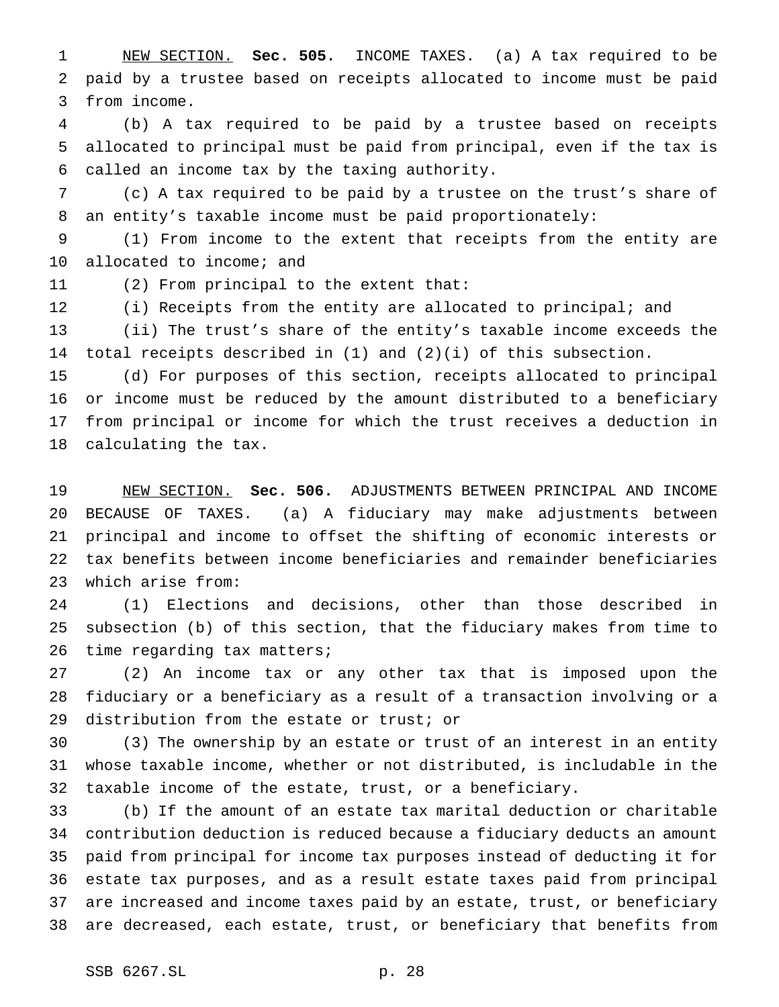NEW SECTION. **Sec. 505.** INCOME TAXES. (a) A tax required to be paid by a trustee based on receipts allocated to income must be paid from income.

 (b) A tax required to be paid by a trustee based on receipts allocated to principal must be paid from principal, even if the tax is called an income tax by the taxing authority.

 (c) A tax required to be paid by a trustee on the trust's share of an entity's taxable income must be paid proportionately:

 (1) From income to the extent that receipts from the entity are allocated to income; and

(2) From principal to the extent that:

(i) Receipts from the entity are allocated to principal; and

 (ii) The trust's share of the entity's taxable income exceeds the total receipts described in (1) and (2)(i) of this subsection.

 (d) For purposes of this section, receipts allocated to principal or income must be reduced by the amount distributed to a beneficiary from principal or income for which the trust receives a deduction in calculating the tax.

 NEW SECTION. **Sec. 506.** ADJUSTMENTS BETWEEN PRINCIPAL AND INCOME BECAUSE OF TAXES. (a) A fiduciary may make adjustments between principal and income to offset the shifting of economic interests or tax benefits between income beneficiaries and remainder beneficiaries which arise from:

 (1) Elections and decisions, other than those described in subsection (b) of this section, that the fiduciary makes from time to 26 time regarding tax matters;

 (2) An income tax or any other tax that is imposed upon the fiduciary or a beneficiary as a result of a transaction involving or a distribution from the estate or trust; or

 (3) The ownership by an estate or trust of an interest in an entity whose taxable income, whether or not distributed, is includable in the taxable income of the estate, trust, or a beneficiary.

 (b) If the amount of an estate tax marital deduction or charitable contribution deduction is reduced because a fiduciary deducts an amount paid from principal for income tax purposes instead of deducting it for estate tax purposes, and as a result estate taxes paid from principal are increased and income taxes paid by an estate, trust, or beneficiary are decreased, each estate, trust, or beneficiary that benefits from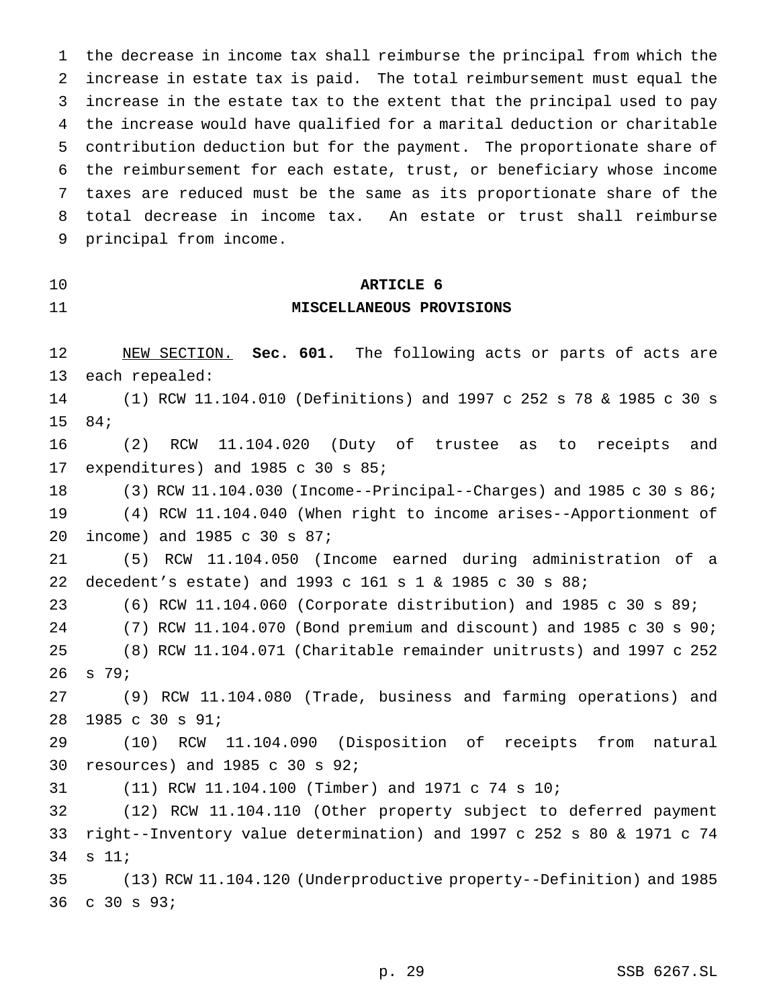the decrease in income tax shall reimburse the principal from which the increase in estate tax is paid. The total reimbursement must equal the increase in the estate tax to the extent that the principal used to pay the increase would have qualified for a marital deduction or charitable contribution deduction but for the payment. The proportionate share of the reimbursement for each estate, trust, or beneficiary whose income taxes are reduced must be the same as its proportionate share of the total decrease in income tax. An estate or trust shall reimburse principal from income.

### **ARTICLE 6**

## **MISCELLANEOUS PROVISIONS**

 NEW SECTION. **Sec. 601.** The following acts or parts of acts are each repealed:

 (1) RCW 11.104.010 (Definitions) and 1997 c 252 s 78 & 1985 c 30 s 84;

 (2) RCW 11.104.020 (Duty of trustee as to receipts and expenditures) and 1985 c 30 s 85;

 (3) RCW 11.104.030 (Income--Principal--Charges) and 1985 c 30 s 86; (4) RCW 11.104.040 (When right to income arises--Apportionment of income) and 1985 c 30 s 87;

 (5) RCW 11.104.050 (Income earned during administration of a 22 decedent's estate) and 1993 c 161 s 1 & 1985 c 30 s 88;

(6) RCW 11.104.060 (Corporate distribution) and 1985 c 30 s 89;

 (7) RCW 11.104.070 (Bond premium and discount) and 1985 c 30 s 90; (8) RCW 11.104.071 (Charitable remainder unitrusts) and 1997 c 252 s 79;

 (9) RCW 11.104.080 (Trade, business and farming operations) and 1985 c 30 s 91;

 (10) RCW 11.104.090 (Disposition of receipts from natural resources) and 1985 c 30 s 92;

(11) RCW 11.104.100 (Timber) and 1971 c 74 s 10;

 (12) RCW 11.104.110 (Other property subject to deferred payment right--Inventory value determination) and 1997 c 252 s 80 & 1971 c 74 s 11;

 (13) RCW 11.104.120 (Underproductive property--Definition) and 1985 c 30 s 93;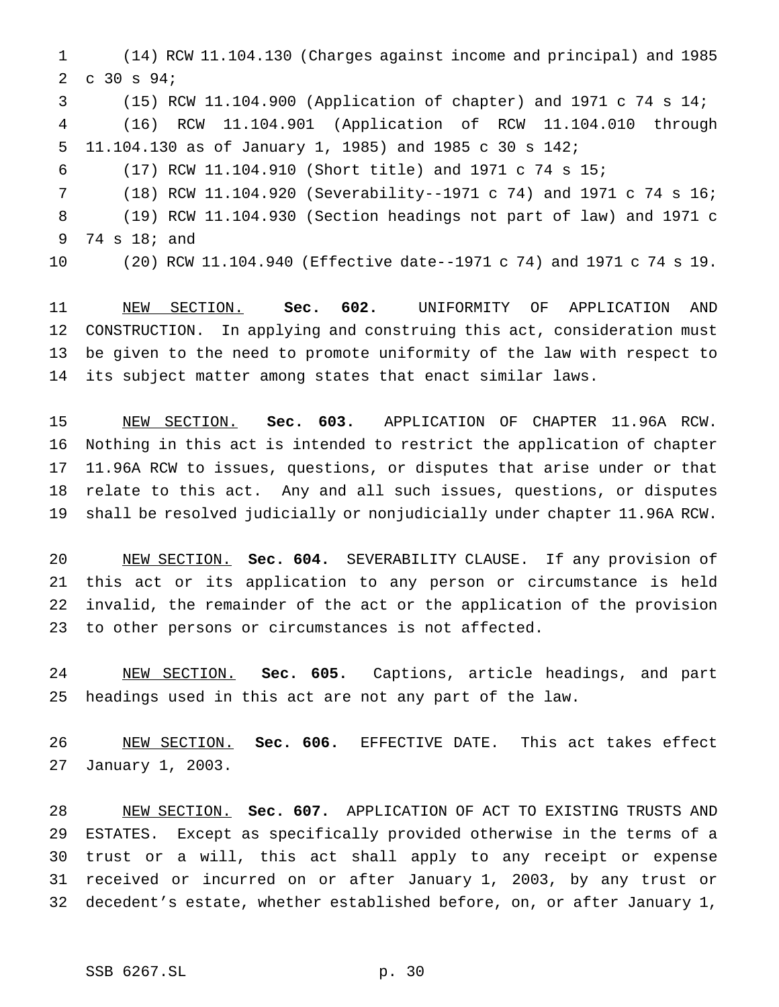(14) RCW 11.104.130 (Charges against income and principal) and 1985 c 30 s 94;

 (15) RCW 11.104.900 (Application of chapter) and 1971 c 74 s 14; (16) RCW 11.104.901 (Application of RCW 11.104.010 through 11.104.130 as of January 1, 1985) and 1985 c 30 s 142;

(17) RCW 11.104.910 (Short title) and 1971 c 74 s 15;

 (18) RCW 11.104.920 (Severability--1971 c 74) and 1971 c 74 s 16; (19) RCW 11.104.930 (Section headings not part of law) and 1971 c 74 s 18; and

(20) RCW 11.104.940 (Effective date--1971 c 74) and 1971 c 74 s 19.

 NEW SECTION. **Sec. 602.** UNIFORMITY OF APPLICATION AND CONSTRUCTION. In applying and construing this act, consideration must be given to the need to promote uniformity of the law with respect to its subject matter among states that enact similar laws.

 NEW SECTION. **Sec. 603.** APPLICATION OF CHAPTER 11.96A RCW. Nothing in this act is intended to restrict the application of chapter 11.96A RCW to issues, questions, or disputes that arise under or that relate to this act. Any and all such issues, questions, or disputes shall be resolved judicially or nonjudicially under chapter 11.96A RCW.

 NEW SECTION. **Sec. 604.** SEVERABILITY CLAUSE. If any provision of this act or its application to any person or circumstance is held invalid, the remainder of the act or the application of the provision to other persons or circumstances is not affected.

 NEW SECTION. **Sec. 605.** Captions, article headings, and part headings used in this act are not any part of the law.

 NEW SECTION. **Sec. 606.** EFFECTIVE DATE. This act takes effect January 1, 2003.

 NEW SECTION. **Sec. 607.** APPLICATION OF ACT TO EXISTING TRUSTS AND ESTATES. Except as specifically provided otherwise in the terms of a trust or a will, this act shall apply to any receipt or expense received or incurred on or after January 1, 2003, by any trust or decedent's estate, whether established before, on, or after January 1,